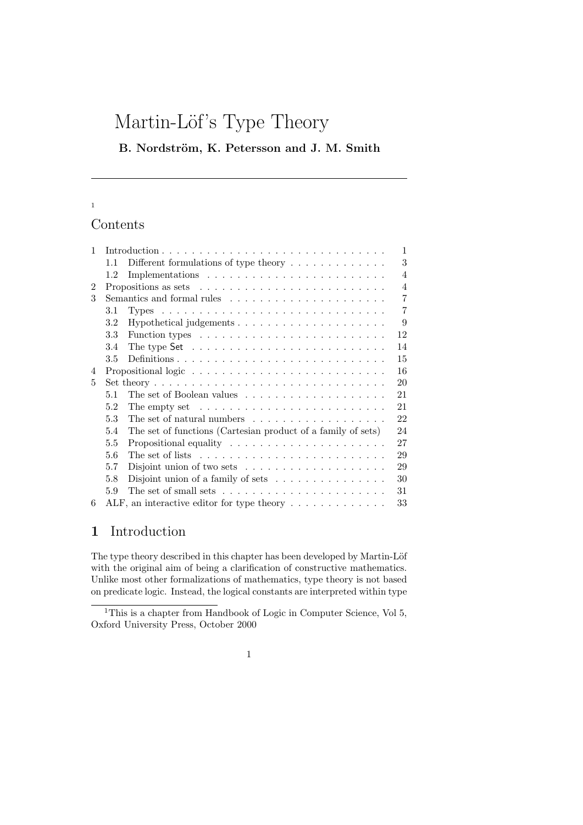# Martin-Löf's Type Theory

B. Nordström, K. Petersson and J. M. Smith

## 1

# Contents

| 1 |                                                                                       | $\mathbf{1}$   |
|---|---------------------------------------------------------------------------------------|----------------|
|   | Different formulations of type theory $\dots \dots \dots \dots$<br>1.1                | 3              |
|   | 1.2                                                                                   | $\overline{4}$ |
| 2 | Propositions as sets $\dots \dots \dots \dots \dots \dots \dots \dots \dots$          | $\overline{4}$ |
| 3 |                                                                                       | $\overline{7}$ |
|   | 3.1                                                                                   | $\overline{7}$ |
|   | 3.2                                                                                   | 9              |
|   | 3.3<br>Function types $\dots \dots \dots \dots \dots \dots \dots \dots \dots \dots$   | 12             |
|   | 3.4<br>The type Set $\dots \dots \dots \dots \dots \dots \dots \dots \dots \dots$     | 14             |
|   | 3.5                                                                                   | 15             |
| 4 |                                                                                       | 16             |
| 5 |                                                                                       | 20             |
|   | 5.1                                                                                   | 21             |
|   | 5.2<br>The empty set $\dots \dots \dots \dots \dots \dots \dots \dots \dots \dots$    | 21             |
|   | 5.3<br>The set of natural numbers $\dots \dots \dots \dots \dots \dots$               | 22             |
|   | The set of functions (Cartesian product of a family of sets)<br>5.4                   | 24             |
|   | 5.5                                                                                   | 27             |
|   | The set of lists $\dots \dots \dots \dots \dots \dots \dots \dots \dots \dots$<br>5.6 | 29             |
|   | 5.7<br>Disjoint union of two sets $\dots \dots \dots \dots \dots \dots$               | 29             |
|   | 5.8<br>Disjoint union of a family of sets $\dots \dots \dots \dots \dots$             | 30             |
|   | The set of small sets $\dots \dots \dots \dots \dots \dots \dots \dots$<br>31<br>5.9  |                |
| 6 | ALF, an interactive editor for type theory $\dots \dots \dots \dots$                  | 33             |

# 1 Introduction

The type theory described in this chapter has been developed by Martin-Löf with the original aim of being a clarification of constructive mathematics. Unlike most other formalizations of mathematics, type theory is not based on predicate logic. Instead, the logical constants are interpreted within type

<sup>&</sup>lt;sup>1</sup>This is a chapter from Handbook of Logic in Computer Science, Vol 5, Oxford University Press, October 2000

<sup>1</sup>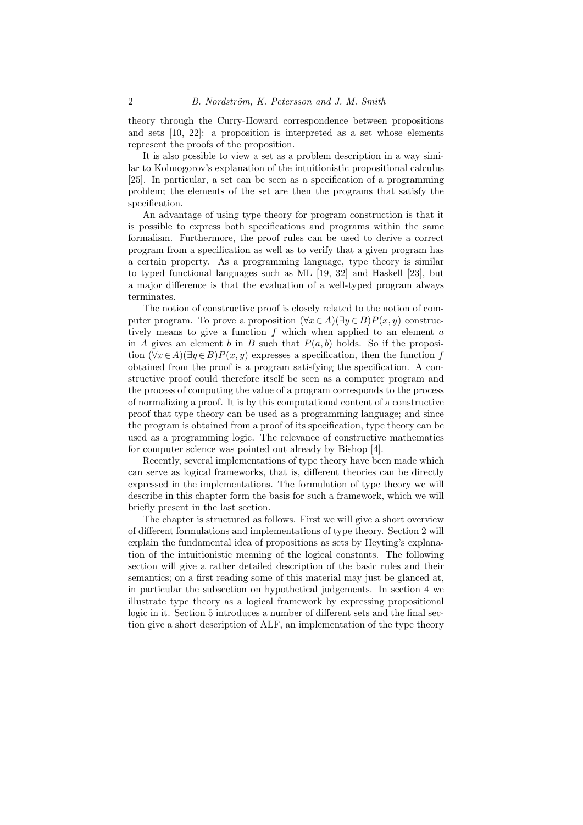theory through the Curry-Howard correspondence between propositions and sets [10, 22]: a proposition is interpreted as a set whose elements represent the proofs of the proposition.

It is also possible to view a set as a problem description in a way similar to Kolmogorov's explanation of the intuitionistic propositional calculus [25]. In particular, a set can be seen as a specification of a programming problem; the elements of the set are then the programs that satisfy the specification.

An advantage of using type theory for program construction is that it is possible to express both specifications and programs within the same formalism. Furthermore, the proof rules can be used to derive a correct program from a specification as well as to verify that a given program has a certain property. As a programming language, type theory is similar to typed functional languages such as ML [19, 32] and Haskell [23], but a major difference is that the evaluation of a well-typed program always terminates.

The notion of constructive proof is closely related to the notion of computer program. To prove a proposition  $(\forall x \in A)(\exists y \in B)P(x, y)$  constructively means to give a function  $f$  which when applied to an element  $a$ in A gives an element b in B such that  $P(a, b)$  holds. So if the proposition  $(\forall x \in A)(\exists y \in B)P(x, y)$  expresses a specification, then the function f obtained from the proof is a program satisfying the specification. A constructive proof could therefore itself be seen as a computer program and the process of computing the value of a program corresponds to the process of normalizing a proof. It is by this computational content of a constructive proof that type theory can be used as a programming language; and since the program is obtained from a proof of its specification, type theory can be used as a programming logic. The relevance of constructive mathematics for computer science was pointed out already by Bishop [4].

Recently, several implementations of type theory have been made which can serve as logical frameworks, that is, different theories can be directly expressed in the implementations. The formulation of type theory we will describe in this chapter form the basis for such a framework, which we will briefly present in the last section.

The chapter is structured as follows. First we will give a short overview of different formulations and implementations of type theory. Section 2 will explain the fundamental idea of propositions as sets by Heyting's explanation of the intuitionistic meaning of the logical constants. The following section will give a rather detailed description of the basic rules and their semantics; on a first reading some of this material may just be glanced at, in particular the subsection on hypothetical judgements. In section 4 we illustrate type theory as a logical framework by expressing propositional logic in it. Section 5 introduces a number of different sets and the final section give a short description of ALF, an implementation of the type theory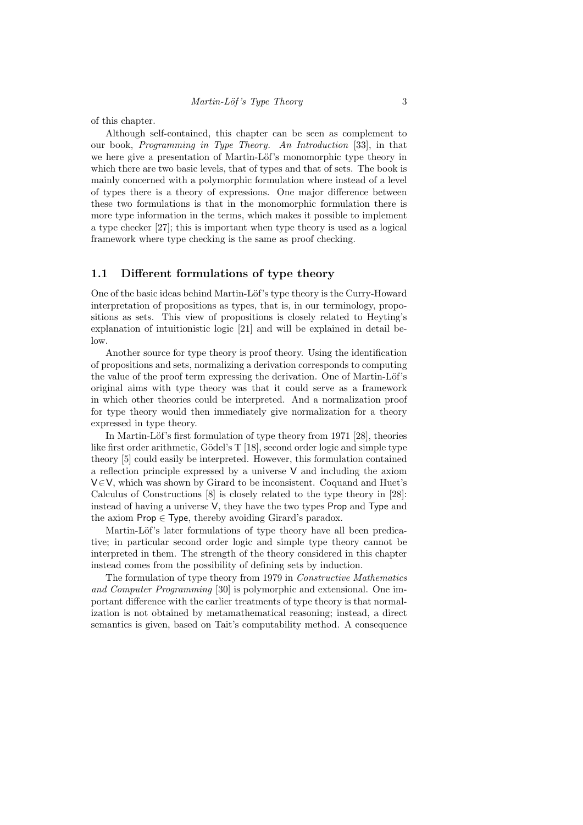of this chapter.

Although self-contained, this chapter can be seen as complement to our book, Programming in Type Theory. An Introduction [33], in that we here give a presentation of Martin-Löf's monomorphic type theory in which there are two basic levels, that of types and that of sets. The book is mainly concerned with a polymorphic formulation where instead of a level of types there is a theory of expressions. One major difference between these two formulations is that in the monomorphic formulation there is more type information in the terms, which makes it possible to implement a type checker [27]; this is important when type theory is used as a logical framework where type checking is the same as proof checking.

#### 1.1 Different formulations of type theory

One of the basic ideas behind Martin-Löf's type theory is the Curry-Howard interpretation of propositions as types, that is, in our terminology, propositions as sets. This view of propositions is closely related to Heyting's explanation of intuitionistic logic [21] and will be explained in detail below.

Another source for type theory is proof theory. Using the identification of propositions and sets, normalizing a derivation corresponds to computing the value of the proof term expressing the derivation. One of Martin-Löf's original aims with type theory was that it could serve as a framework in which other theories could be interpreted. And a normalization proof for type theory would then immediately give normalization for a theory expressed in type theory.

In Martin-Löf's first formulation of type theory from 1971 [28], theories like first order arithmetic, Gödel's T  $[18]$ , second order logic and simple type theory [5] could easily be interpreted. However, this formulation contained a reflection principle expressed by a universe  $V$  and including the axiom V∈V, which was shown by Girard to be inconsistent. Coquand and Huet's Calculus of Constructions [8] is closely related to the type theory in [28]: instead of having a universe V, they have the two types Prop and Type and the axiom  $\mathsf{Prop} \in \mathsf{Type}$ , thereby avoiding Girard's paradox.

Martin-Löf's later formulations of type theory have all been predicative; in particular second order logic and simple type theory cannot be interpreted in them. The strength of the theory considered in this chapter instead comes from the possibility of defining sets by induction.

The formulation of type theory from 1979 in Constructive Mathematics and Computer Programming [30] is polymorphic and extensional. One important difference with the earlier treatments of type theory is that normalization is not obtained by metamathematical reasoning; instead, a direct semantics is given, based on Tait's computability method. A consequence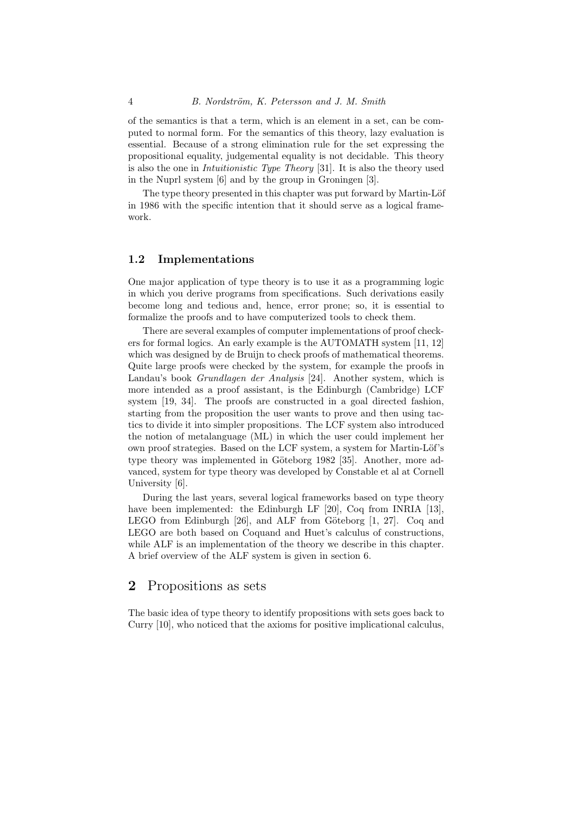of the semantics is that a term, which is an element in a set, can be computed to normal form. For the semantics of this theory, lazy evaluation is essential. Because of a strong elimination rule for the set expressing the propositional equality, judgemental equality is not decidable. This theory is also the one in Intuitionistic Type Theory [31]. It is also the theory used in the Nuprl system [6] and by the group in Groningen [3].

The type theory presented in this chapter was put forward by Martin-Löf in 1986 with the specific intention that it should serve as a logical framework.

#### 1.2 Implementations

One major application of type theory is to use it as a programming logic in which you derive programs from specifications. Such derivations easily become long and tedious and, hence, error prone; so, it is essential to formalize the proofs and to have computerized tools to check them.

There are several examples of computer implementations of proof checkers for formal logics. An early example is the AUTOMATH system [11, 12] which was designed by de Bruijn to check proofs of mathematical theorems. Quite large proofs were checked by the system, for example the proofs in Landau's book *Grundlagen der Analysis* [24]. Another system, which is more intended as a proof assistant, is the Edinburgh (Cambridge) LCF system [19, 34]. The proofs are constructed in a goal directed fashion, starting from the proposition the user wants to prove and then using tactics to divide it into simpler propositions. The LCF system also introduced the notion of metalanguage (ML) in which the user could implement her own proof strategies. Based on the LCF system, a system for Martin-Löf's type theory was implemented in Göteborg 1982 [35]. Another, more advanced, system for type theory was developed by Constable et al at Cornell University [6].

During the last years, several logical frameworks based on type theory have been implemented: the Edinburgh LF [20], Coq from INRIA [13], LEGO from Edinburgh  $[26]$ , and ALF from Göteborg  $[1, 27]$ . Coq and LEGO are both based on Coquand and Huet's calculus of constructions, while ALF is an implementation of the theory we describe in this chapter. A brief overview of the ALF system is given in section 6.

## 2 Propositions as sets

The basic idea of type theory to identify propositions with sets goes back to Curry [10], who noticed that the axioms for positive implicational calculus,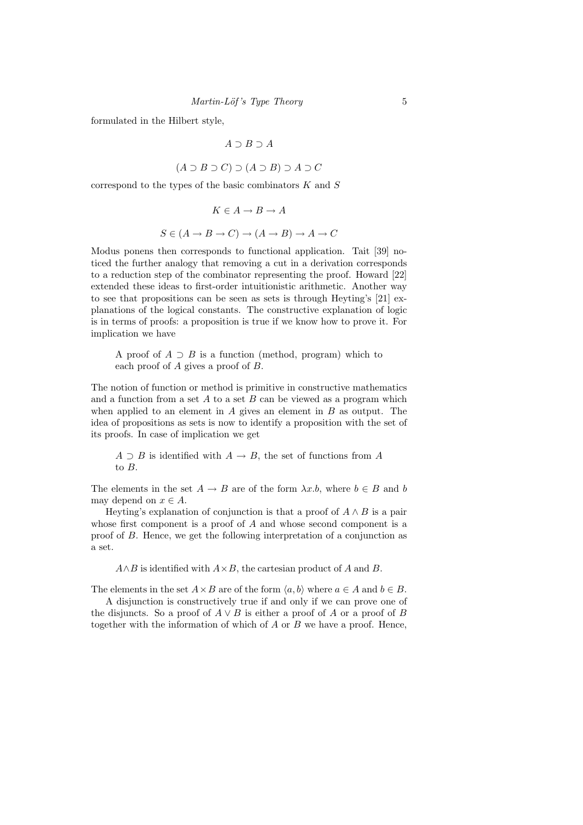formulated in the Hilbert style,

$$
A\supset B\supset A
$$

$$
(A \supset B \supset C) \supset (A \supset B) \supset A \supset C
$$

correspond to the types of the basic combinators  $K$  and  $S$ 

$$
K \in A \to B \to A
$$
  

$$
S \in (A \to B \to C) \to (A \to B) \to A \to C
$$

Modus ponens then corresponds to functional application. Tait [39] noticed the further analogy that removing a cut in a derivation corresponds to a reduction step of the combinator representing the proof. Howard [22] extended these ideas to first-order intuitionistic arithmetic. Another way to see that propositions can be seen as sets is through Heyting's [21] explanations of the logical constants. The constructive explanation of logic is in terms of proofs: a proposition is true if we know how to prove it. For implication we have

A proof of  $A \supset B$  is a function (method, program) which to each proof of A gives a proof of B.

The notion of function or method is primitive in constructive mathematics and a function from a set  $A$  to a set  $B$  can be viewed as a program which when applied to an element in  $A$  gives an element in  $B$  as output. The idea of propositions as sets is now to identify a proposition with the set of its proofs. In case of implication we get

 $A \supset B$  is identified with  $A \to B$ , the set of functions from A to B.

The elements in the set  $A \to B$  are of the form  $\lambda x.b$ , where  $b \in B$  and b may depend on  $x \in A$ .

Heyting's explanation of conjunction is that a proof of  $A \wedge B$  is a pair whose first component is a proof of A and whose second component is a proof of B. Hence, we get the following interpretation of a conjunction as a set.

 $A \wedge B$  is identified with  $A \times B$ , the cartesian product of A and B.

The elements in the set  $A \times B$  are of the form  $\langle a, b \rangle$  where  $a \in A$  and  $b \in B$ .

A disjunction is constructively true if and only if we can prove one of the disjuncts. So a proof of  $A \vee B$  is either a proof of A or a proof of B together with the information of which of  $A$  or  $B$  we have a proof. Hence,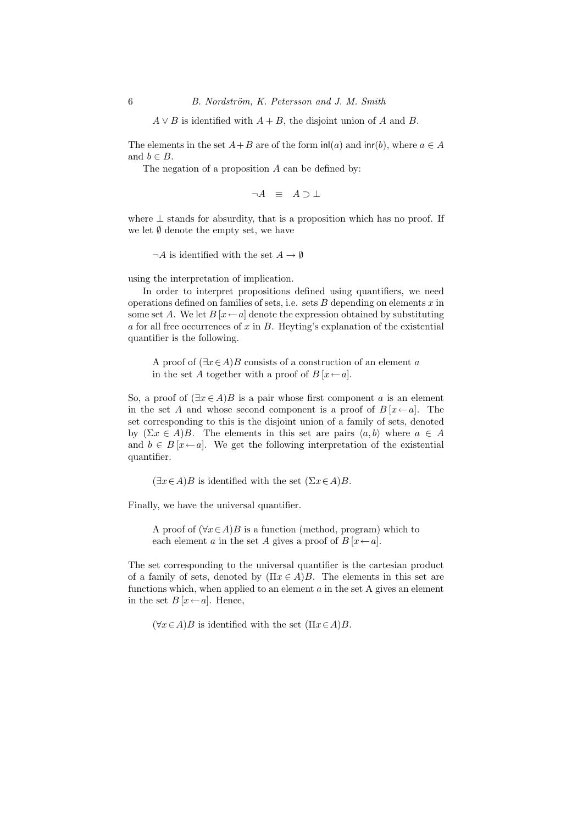$A \vee B$  is identified with  $A + B$ , the disjoint union of A and B.

The elements in the set  $A+B$  are of the form  $\text{inl}(a)$  and  $\text{inr}(b)$ , where  $a \in A$ and  $b \in B$ .

The negation of a proposition A can be defined by:

$$
\neg A \ \equiv \ A \supset \bot
$$

where  $\perp$  stands for absurdity, that is a proposition which has no proof. If we let  $\emptyset$  denote the empty set, we have

 $\neg A$  is identified with the set  $A \to \emptyset$ 

using the interpretation of implication.

In order to interpret propositions defined using quantifiers, we need operations defined on families of sets, i.e. sets  $B$  depending on elements  $x$  in some set A. We let  $B[x \leftarrow a]$  denote the expression obtained by substituting a for all free occurrences of  $x$  in  $B$ . Heyting's explanation of the existential quantifier is the following.

A proof of  $(\exists x \in A)B$  consists of a construction of an element a in the set A together with a proof of  $B[x \leftarrow a]$ .

So, a proof of  $(\exists x \in A)B$  is a pair whose first component a is an element in the set A and whose second component is a proof of  $B[x \leftarrow a]$ . The set corresponding to this is the disjoint union of a family of sets, denoted by  $(\Sigma x \in A)B$ . The elements in this set are pairs  $\langle a, b \rangle$  where  $a \in A$ and  $b \in B[x \leftarrow a]$ . We get the following interpretation of the existential quantifier.

 $(\exists x \in A)B$  is identified with the set  $(\Sigma x \in A)B$ .

Finally, we have the universal quantifier.

A proof of  $(\forall x \in A)B$  is a function (method, program) which to each element a in the set A gives a proof of  $B[x \leftarrow a]$ .

The set corresponding to the universal quantifier is the cartesian product of a family of sets, denoted by  $(\Pi x \in A)B$ . The elements in this set are functions which, when applied to an element  $a$  in the set A gives an element in the set  $B[x \leftarrow a]$ . Hence,

 $(\forall x \in A)B$  is identified with the set  $(\Pi x \in A)B$ .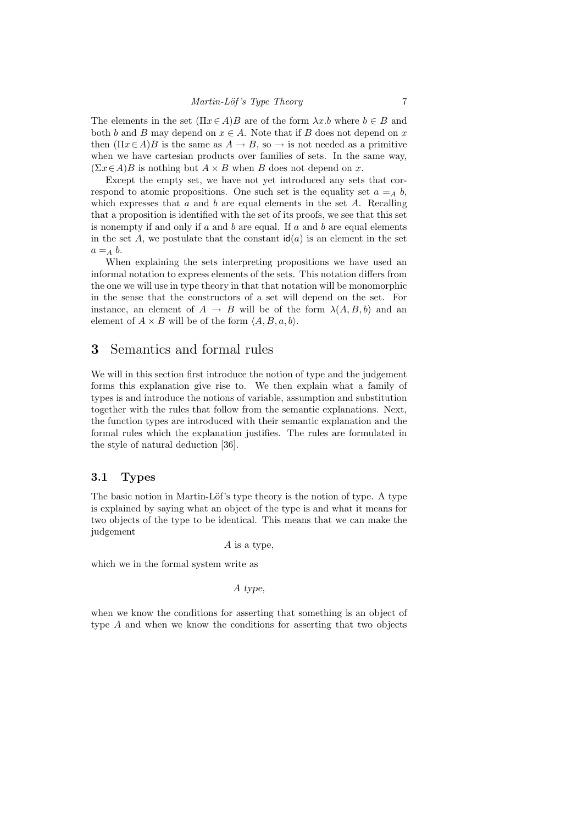The elements in the set  $(\Pi x \in A)B$  are of the form  $\lambda x.b$  where  $b \in B$  and both b and B may depend on  $x \in A$ . Note that if B does not depend on x then  $(\Pi x \in A)B$  is the same as  $A \to B$ , so  $\to$  is not needed as a primitive when we have cartesian products over families of sets. In the same way,  $(\Sigma x \in A)B$  is nothing but  $A \times B$  when B does not depend on x.

Except the empty set, we have not yet introduced any sets that correspond to atomic propositions. One such set is the equality set  $a =_A b$ , which expresses that a and b are equal elements in the set  $A$ . Recalling that a proposition is identified with the set of its proofs, we see that this set is nonempty if and only if  $a$  and  $b$  are equal. If  $a$  and  $b$  are equal elements in the set A, we postulate that the constant  $\mathsf{id}(a)$  is an element in the set  $a =_A b$ .

When explaining the sets interpreting propositions we have used an informal notation to express elements of the sets. This notation differs from the one we will use in type theory in that that notation will be monomorphic in the sense that the constructors of a set will depend on the set. For instance, an element of  $A \rightarrow B$  will be of the form  $\lambda(A, B, b)$  and an element of  $A \times B$  will be of the form  $\langle A, B, a, b \rangle$ .

## 3 Semantics and formal rules

We will in this section first introduce the notion of type and the judgement forms this explanation give rise to. We then explain what a family of types is and introduce the notions of variable, assumption and substitution together with the rules that follow from the semantic explanations. Next, the function types are introduced with their semantic explanation and the formal rules which the explanation justifies. The rules are formulated in the style of natural deduction [36].

### 3.1 Types

The basic notion in Martin-Löf's type theory is the notion of type. A type is explained by saying what an object of the type is and what it means for two objects of the type to be identical. This means that we can make the judgement

A is a type,

which we in the formal system write as

#### A type,

when we know the conditions for asserting that something is an object of type A and when we know the conditions for asserting that two objects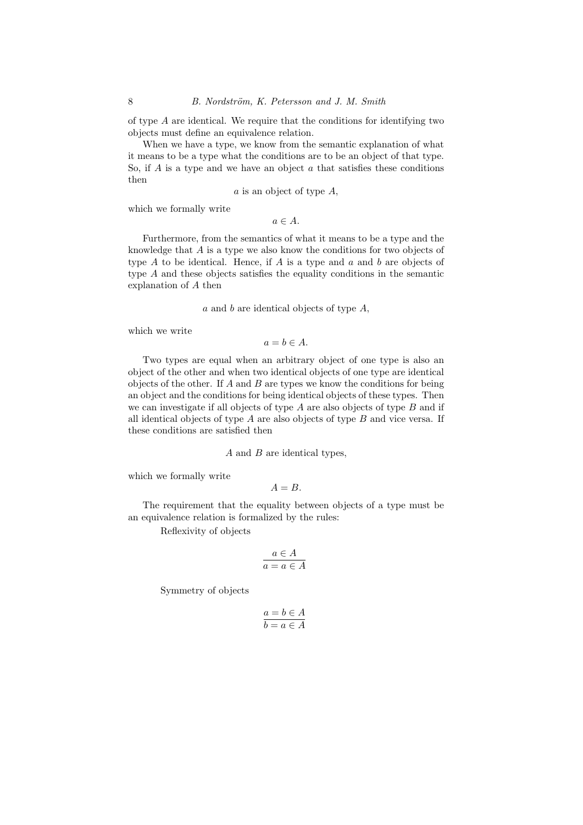of type A are identical. We require that the conditions for identifying two objects must define an equivalence relation.

When we have a type, we know from the semantic explanation of what it means to be a type what the conditions are to be an object of that type. So, if A is a type and we have an object  $\alpha$  that satisfies these conditions then

a is an object of type A,

which we formally write

 $a \in A$ .

Furthermore, from the semantics of what it means to be a type and the knowledge that A is a type we also know the conditions for two objects of type  $A$  to be identical. Hence, if  $A$  is a type and  $a$  and  $b$  are objects of type A and these objects satisfies the equality conditions in the semantic explanation of A then

a and b are identical objects of type A,

which we write

 $a = b \in A$ .

Two types are equal when an arbitrary object of one type is also an object of the other and when two identical objects of one type are identical objects of the other. If  $A$  and  $B$  are types we know the conditions for being an object and the conditions for being identical objects of these types. Then we can investigate if all objects of type  $A$  are also objects of type  $B$  and if all identical objects of type  $A$  are also objects of type  $B$  and vice versa. If these conditions are satisfied then

#### A and B are identical types,

which we formally write

$$
A=B.
$$

The requirement that the equality between objects of a type must be an equivalence relation is formalized by the rules:

Reflexivity of objects

$$
a \in A
$$

$$
a = a \in A
$$

Symmetry of objects

$$
a = b \in A
$$

$$
b = a \in A
$$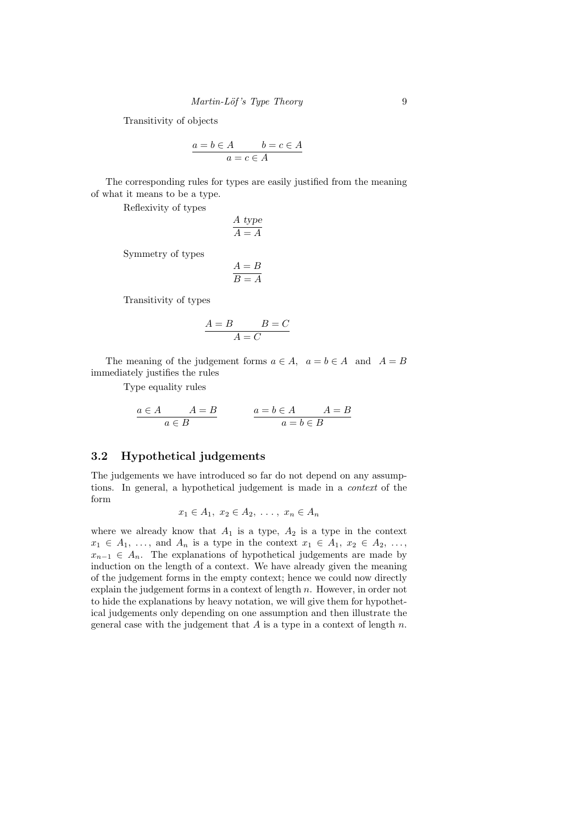Transitivity of objects

$$
a = b \in A \qquad b = c \in A
$$

$$
a = c \in A
$$

The corresponding rules for types are easily justified from the meaning of what it means to be a type.

Reflexivity of types

$$
\frac{A \text{ type}}{A = A}
$$

Symmetry of types

$$
\frac{A=B}{B=A}
$$

Transitivity of types

$$
\frac{A=B}{A=C}B=C
$$

The meaning of the judgement forms  $a \in A$ ,  $a = b \in A$  and  $A = B$ immediately justifies the rules

Type equality rules

$$
\cfrac{a\in A\qquad A=B}{a\in B}\qquad\qquad \cfrac{a=b\in A\qquad A=B}{a=b\in B}
$$

## 3.2 Hypothetical judgements

The judgements we have introduced so far do not depend on any assumptions. In general, a hypothetical judgement is made in a context of the form

$$
x_1 \in A_1, x_2 \in A_2, \ldots, x_n \in A_n
$$

where we already know that  $A_1$  is a type,  $A_2$  is a type in the context  $x_1 \in A_1, \ldots$ , and  $A_n$  is a type in the context  $x_1 \in A_1, x_2 \in A_2, \ldots$ ,  $x_{n-1} \in A_n$ . The explanations of hypothetical judgements are made by induction on the length of a context. We have already given the meaning of the judgement forms in the empty context; hence we could now directly explain the judgement forms in a context of length n. However, in order not to hide the explanations by heavy notation, we will give them for hypothetical judgements only depending on one assumption and then illustrate the general case with the judgement that  $A$  is a type in a context of length  $n$ .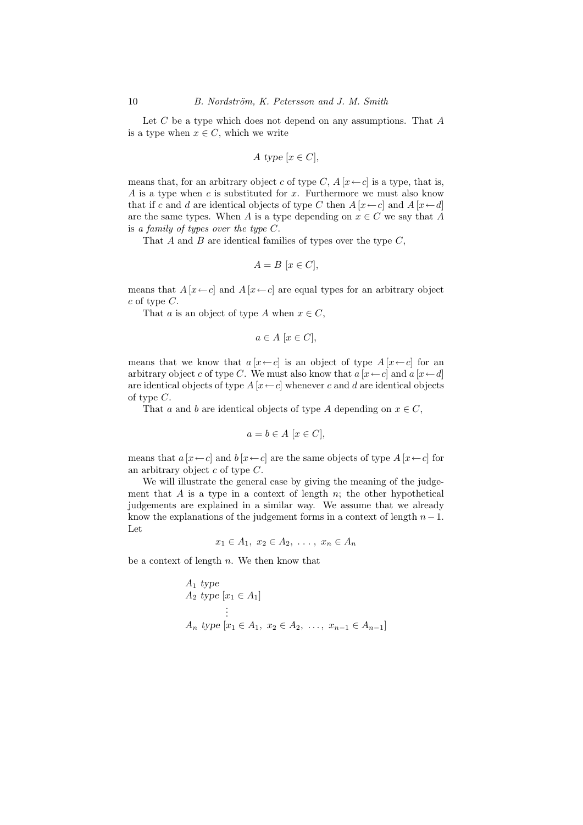Let  $C$  be a type which does not depend on any assumptions. That  $A$ is a type when  $x \in C$ , which we write

$$
A \text{ type } [x \in C],
$$

means that, for an arbitrary object c of type C,  $A[x \leftarrow c]$  is a type, that is, A is a type when  $c$  is substituted for  $x$ . Furthermore we must also know that if c and d are identical objects of type C then  $A[x \leftarrow c]$  and  $A[x \leftarrow d]$ are the same types. When A is a type depending on  $x \in C$  we say that A is a family of types over the type  $C$ .

That  $A$  and  $B$  are identical families of types over the type  $C$ ,

$$
A = B [x \in C],
$$

means that  $A[x \leftarrow c]$  and  $A[x \leftarrow c]$  are equal types for an arbitrary object  $c$  of type  $C$ .

That a is an object of type A when  $x \in C$ ,

$$
a \in A \ [x \in C],
$$

means that we know that  $a[x \leftarrow c]$  is an object of type  $A[x \leftarrow c]$  for an arbitrary object c of type C. We must also know that  $a [x \leftarrow c]$  and  $a [x \leftarrow d]$ are identical objects of type  $A[x \leftarrow c]$  whenever c and d are identical objects of type  $C$ .

That a and b are identical objects of type A depending on  $x \in C$ ,

$$
a = b \in A \ [x \in C],
$$

means that  $a[x \leftarrow c]$  and  $b[x \leftarrow c]$  are the same objects of type  $A[x \leftarrow c]$  for an arbitrary object  $c$  of type  $C$ .

We will illustrate the general case by giving the meaning of the judgement that  $A$  is a type in a context of length  $n$ ; the other hypothetical judgements are explained in a similar way. We assume that we already know the explanations of the judgement forms in a context of length  $n-1$ . Let

$$
x_1 \in A_1, x_2 \in A_2, \ldots, x_n \in A_n
$$

be a context of length  $n$ . We then know that

$$
A_1
$$
 type  
\n $A_2$  type  $[x_1 \in A_1]$   
\n $\vdots$   
\n $A_n$  type  $[x_1 \in A_1, x_2 \in A_2, ..., x_{n-1} \in A_{n-1}]$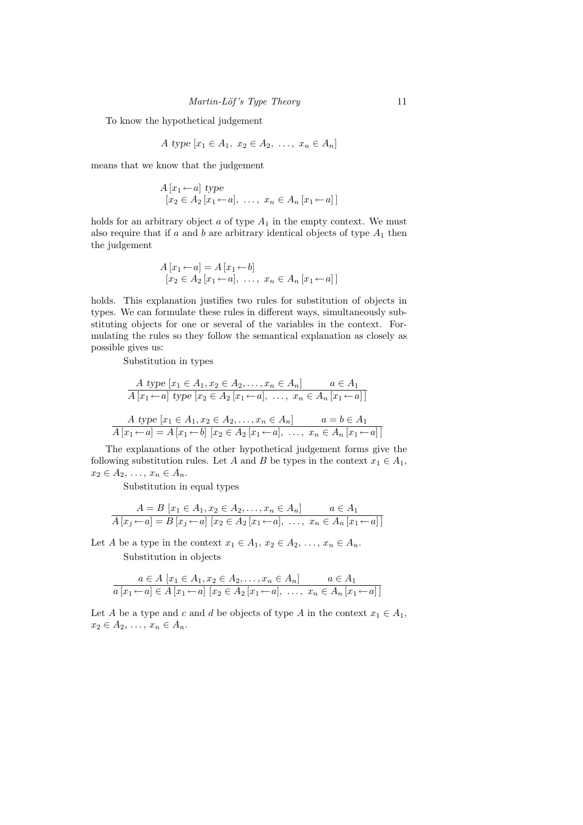To know the hypothetical judgement

$$
A \text{ type } [x_1 \in A_1, x_2 \in A_2, \ldots, x_n \in A_n]
$$

means that we know that the judgement

$$
A[x_1 \leftarrow a] \text{ type}
$$
  
[ $x_2 \in A_2[x_1 \leftarrow a], \dots, x_n \in A_n[x_1 \leftarrow a]$ ]

holds for an arbitrary object  $a$  of type  $A_1$  in the empty context. We must also require that if a and b are arbitrary identical objects of type  $A_1$  then the judgement

$$
A[x_1 \leftarrow a] = A[x_1 \leftarrow b]
$$
  
[x<sub>2</sub>  $\in$  A<sub>2</sub> [x<sub>1</sub>  $\leftarrow$  a], ..., x<sub>n</sub>  $\in$  A<sub>n</sub> [x<sub>1</sub>  $\leftarrow$  a]]

holds. This explanation justifies two rules for substitution of objects in types. We can formulate these rules in different ways, simultaneously substituting objects for one or several of the variables in the context. Formulating the rules so they follow the semantical explanation as closely as possible gives us:

Substitution in types

$$
A \text{ type } [x_1 \in A_1, x_2 \in A_2, \dots, x_n \in A_n] \qquad a \in A_1
$$
  
\n
$$
A [x_1 \leftarrow a] \text{ type } [x_2 \in A_2 [x_1 \leftarrow a], \dots, x_n \in A_n [x_1 \leftarrow a]]
$$
  
\n
$$
A \text{ type } [x_1 \in A_1, x_2 \in A_2, \dots, x_n \in A_n] \qquad a = b \in A_1
$$
  
\n
$$
A [x_1 \leftarrow a] = A [x_1 \leftarrow b] [x_2 \in A_2 [x_1 \leftarrow a], \dots, x_n \in A_n [x_1 \leftarrow a]]
$$

The explanations of the other hypothetical judgement forms give the following substitution rules. Let A and B be types in the context  $x_1 \in A_1$ ,  $x_2 \in A_2, \ldots, x_n \in A_n$ .

Substitution in equal types

$$
A = B [x_1 \in A_1, x_2 \in A_2, \dots, x_n \in A_n] \qquad a \in A_1
$$
  

$$
A [x_j \leftarrow a] = B [x_j \leftarrow a] [x_2 \in A_2 [x_1 \leftarrow a], \dots, x_n \in A_n [x_1 \leftarrow a]]
$$

Let A be a type in the context  $x_1 \in A_1, x_2 \in A_2, \ldots, x_n \in A_n$ .

Substitution in objects

$$
a \in A \ [x_1 \in A_1, x_2 \in A_2, \dots, x_n \in A_n] \qquad a \in A_1
$$
  

$$
a [x_1 \leftarrow a] \in A [x_1 \leftarrow a] [x_2 \in A_2 [x_1 \leftarrow a], \dots, x_n \in A_n [x_1 \leftarrow a]]
$$

Let A be a type and c and d be objects of type A in the context  $x_1 \in A_1$ ,  $x_2 \in A_2, \ldots, x_n \in A_n.$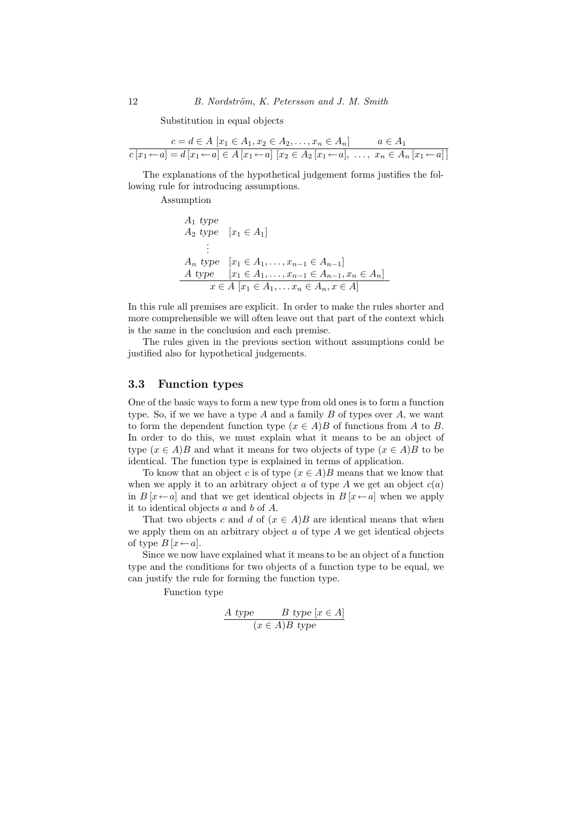Substitution in equal objects

$$
\frac{c = d \in A \ [x_1 \in A_1, x_2 \in A_2, \dots, x_n \in A_n]}{c \ [x_1 \leftarrow a] = d \ [x_1 \leftarrow a] \in A \ [x_1 \leftarrow a] \ [x_2 \in A_2 \ [x_1 \leftarrow a], \dots, \ x_n \in A_n \ [x_1 \leftarrow a] \right]}
$$

The explanations of the hypothetical judgement forms justifies the following rule for introducing assumptions.

Assumption

$$
A_1 \text{ type } A_2 \text{ type } [x_1 \in A_1] \n\vdots A_n \text{ type } [x_1 \in A_1, \dots, x_{n-1} \in A_{n-1}] \nA \text{ type } [x_1 \in A_1, \dots, x_{n-1} \in A_{n-1}, x_n \in A_n] \n x \in A [x_1 \in A_1, \dots, x_n \in A_n, x \in A]
$$

In this rule all premises are explicit. In order to make the rules shorter and more comprehensible we will often leave out that part of the context which is the same in the conclusion and each premise.

The rules given in the previous section without assumptions could be justified also for hypothetical judgements.

#### 3.3 Function types

One of the basic ways to form a new type from old ones is to form a function type. So, if we we have a type A and a family B of types over A, we want to form the dependent function type  $(x \in A)B$  of functions from A to B. In order to do this, we must explain what it means to be an object of type  $(x \in A)B$  and what it means for two objects of type  $(x \in A)B$  to be identical. The function type is explained in terms of application.

To know that an object c is of type  $(x \in A)B$  means that we know that when we apply it to an arbitrary object  $a$  of type  $A$  we get an object  $c(a)$ in  $B[x \leftarrow a]$  and that we get identical objects in  $B[x \leftarrow a]$  when we apply it to identical objects  $a$  and  $b$  of  $A$ .

That two objects c and d of  $(x \in A)B$  are identical means that when we apply them on an arbitrary object  $a$  of type  $A$  we get identical objects of type  $B[x \leftarrow a]$ .

Since we now have explained what it means to be an object of a function type and the conditions for two objects of a function type to be equal, we can justify the rule for forming the function type.

Function type

$$
\frac{A \text{ type}}{(x \in A)B \text{ type } [x \in A]}
$$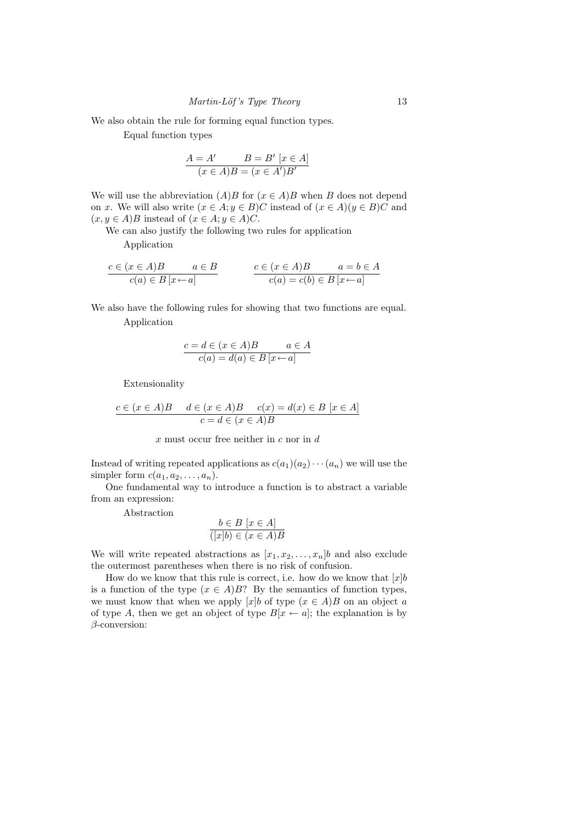We also obtain the rule for forming equal function types.

Equal function types

$$
\frac{A = A' \qquad B = B' [x \in A]}{(x \in A)B = (x \in A')B'}
$$

We will use the abbreviation  $(A)B$  for  $(x \in A)B$  when B does not depend on x. We will also write  $(x \in A; y \in B)C$  instead of  $(x \in A)(y \in B)C$  and  $(x, y \in A)B$  instead of  $(x \in A; y \in A)C$ .

We can also justify the following two rules for application

Application

$$
\frac{c \in (x \in A)B \qquad a \in B}{c(a) \in B [x \leftarrow a]} \qquad \qquad \frac{c \in (x \in A)B \qquad a = b \in A}{c(a) = c(b) \in B [x \leftarrow a]}
$$

We also have the following rules for showing that two functions are equal.

Application

$$
\frac{c = d \in (x \in A)B \qquad a \in A}{c(a) = d(a) \in B [x \leftarrow a]}
$$

Extensionality

$$
\frac{c \in (x \in A)B \quad d \in (x \in A)B \quad c(x) = d(x) \in B \ [x \in A]}{c = d \in (x \in A)B}
$$

 $x$  must occur free neither in  $c$  nor in  $d$ 

Instead of writing repeated applications as  $c(a_1)(a_2)\cdots(a_n)$  we will use the simpler form  $c(a_1, a_2, \ldots, a_n)$ .

One fundamental way to introduce a function is to abstract a variable from an expression:

Abstraction

$$
b \in B \ [x \in A]
$$

$$
(\lceil x \rceil b) \in (x \in A)B
$$

We will write repeated abstractions as  $[x_1, x_2, \ldots, x_n]$  and also exclude the outermost parentheses when there is no risk of confusion.

How do we know that this rule is correct, i.e. how do we know that  $[x]b$ is a function of the type  $(x \in A)B$ ? By the semantics of function types, we must know that when we apply [x]b of type  $(x \in A)B$  on an object a of type A, then we get an object of type  $B[x \leftarrow a]$ ; the explanation is by β-conversion: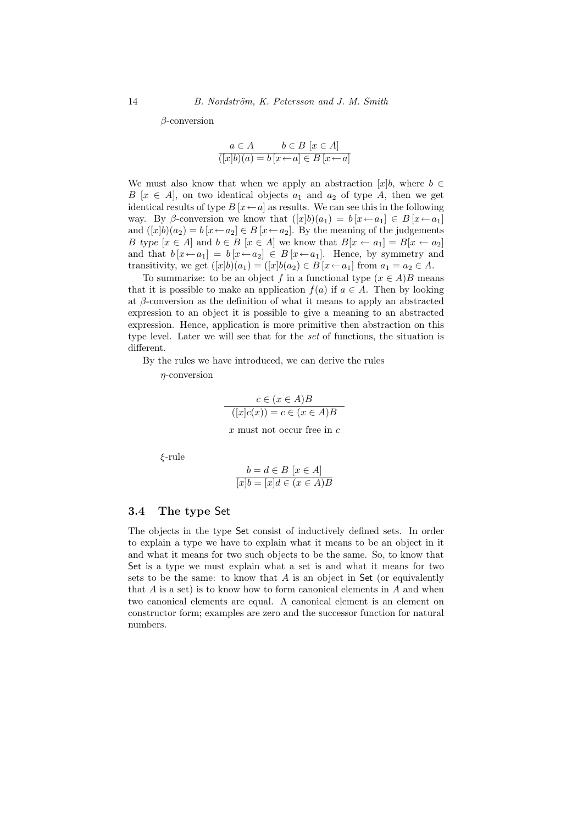β-conversion

$$
a \in A \qquad b \in B \ [x \in A]
$$

$$
\overline{([x]b)(a) = b \ [x \leftarrow a] \in B \ [x \leftarrow a]}
$$

We must also know that when we apply an abstraction  $[x]_b$ , where  $b \in$ B  $[x \in A]$ , on two identical objects  $a_1$  and  $a_2$  of type A, then we get identical results of type  $B[x \leftarrow a]$  as results. We can see this in the following way. By β-conversion we know that  $([x]b)(a_1) = b[x \leftarrow a_1] \in B[x \leftarrow a_1]$ and  $([x]b)(a_2) = b[x \leftarrow a_2] \in B[x \leftarrow a_2]$ . By the meaning of the judgements B type  $[x \in A]$  and  $b \in B$   $[x \in A]$  we know that  $B[x \leftarrow a_1] = B[x \leftarrow a_2]$ and that  $b[x \leftarrow a_1] = b[x \leftarrow a_2] \in B[x \leftarrow a_1]$ . Hence, by symmetry and transitivity, we get  $([x]b)(a_1) = ([x]b(a_2) \in B[x \leftarrow a_1]$  from  $a_1 = a_2 \in A$ .

To summarize: to be an object f in a functional type  $(x \in A)B$  means that it is possible to make an application  $f(a)$  if  $a \in A$ . Then by looking at  $\beta$ -conversion as the definition of what it means to apply an abstracted expression to an object it is possible to give a meaning to an abstracted expression. Hence, application is more primitive then abstraction on this type level. Later we will see that for the set of functions, the situation is different.

By the rules we have introduced, we can derive the rules

 $\eta$ -conversion

$$
c \in (x \in A)B
$$

$$
([x]c(x)) = c \in (x \in A)B
$$

 $x$  must not occur free in  $c$ 

ξ-rule

$$
b = d \in B \ [x \in A]
$$

$$
\overline{[x]b} = \overline{[x]d} \in (x \in A)B
$$

#### 3.4 The type Set

The objects in the type Set consist of inductively defined sets. In order to explain a type we have to explain what it means to be an object in it and what it means for two such objects to be the same. So, to know that Set is a type we must explain what a set is and what it means for two sets to be the same: to know that  $A$  is an object in Set (or equivalently that  $A$  is a set) is to know how to form canonical elements in  $A$  and when two canonical elements are equal. A canonical element is an element on constructor form; examples are zero and the successor function for natural numbers.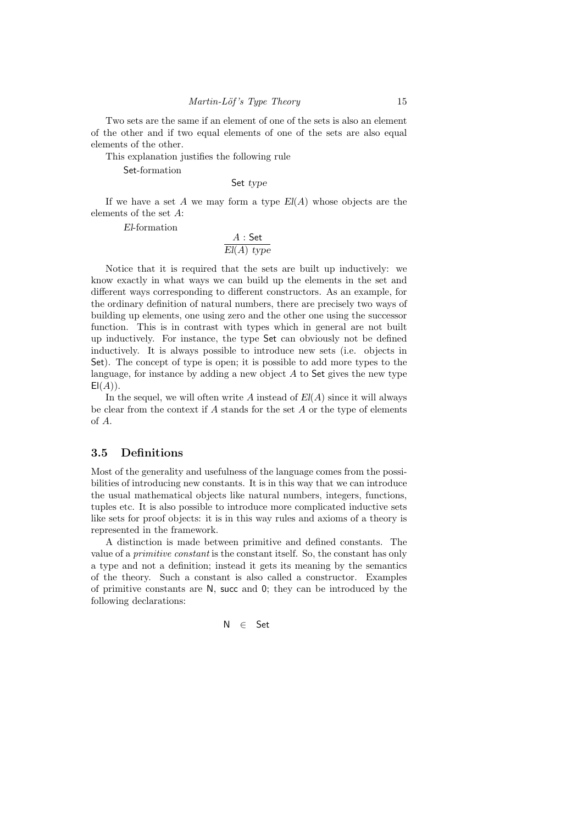Two sets are the same if an element of one of the sets is also an element of the other and if two equal elements of one of the sets are also equal elements of the other.

This explanation justifies the following rule

Set-formation

Set type

If we have a set A we may form a type  $El(A)$  whose objects are the elements of the set A:

El-formation

$$
\frac{A:\mathsf{Set}}{El(A) \; type}
$$

Notice that it is required that the sets are built up inductively: we know exactly in what ways we can build up the elements in the set and different ways corresponding to different constructors. As an example, for the ordinary definition of natural numbers, there are precisely two ways of building up elements, one using zero and the other one using the successor function. This is in contrast with types which in general are not built up inductively. For instance, the type Set can obviously not be defined inductively. It is always possible to introduce new sets (i.e. objects in Set). The concept of type is open; it is possible to add more types to the language, for instance by adding a new object  $A$  to Set gives the new type  $E(A)$ ).

In the sequel, we will often write A instead of  $El(A)$  since it will always be clear from the context if  $A$  stands for the set  $A$  or the type of elements of A.

#### 3.5 Definitions

Most of the generality and usefulness of the language comes from the possibilities of introducing new constants. It is in this way that we can introduce the usual mathematical objects like natural numbers, integers, functions, tuples etc. It is also possible to introduce more complicated inductive sets like sets for proof objects: it is in this way rules and axioms of a theory is represented in the framework.

A distinction is made between primitive and defined constants. The value of a primitive constant is the constant itself. So, the constant has only a type and not a definition; instead it gets its meaning by the semantics of the theory. Such a constant is also called a constructor. Examples of primitive constants are N, succ and 0; they can be introduced by the following declarations:

$$
\mathsf{N} \quad \in \quad \mathsf{Set}
$$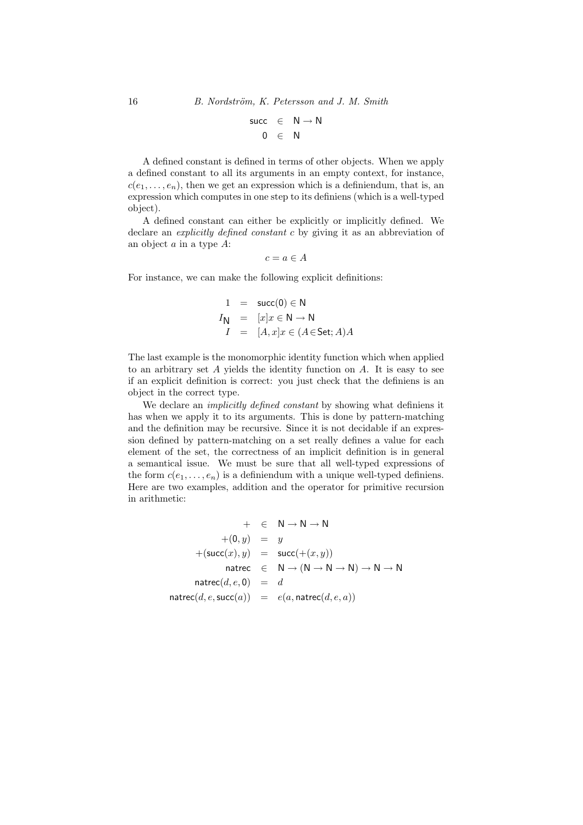$$
\begin{array}{rcl} \mathsf{succ} & \in & \mathsf{N} \rightarrow \mathsf{N} \\ \mathsf{0} & \in & \mathsf{N} \end{array}
$$

A defined constant is defined in terms of other objects. When we apply a defined constant to all its arguments in an empty context, for instance,  $c(e_1, \ldots, e_n)$ , then we get an expression which is a definiendum, that is, an expression which computes in one step to its definiens (which is a well-typed object).

A defined constant can either be explicitly or implicitly defined. We declare an *explicitly defined constant c* by giving it as an abbreviation of an object  $a$  in a type  $A$ :

$$
c = a \in A
$$

For instance, we can make the following explicit definitions:

$$
1 = \text{succ}(0) \in \mathbb{N}
$$
  
\n
$$
I_{\mathbb{N}} = [x]x \in \mathbb{N} \to \mathbb{N}
$$
  
\n
$$
I = [A, x]x \in (A \in \text{Set}; A)A
$$

The last example is the monomorphic identity function which when applied to an arbitrary set  $A$  yields the identity function on  $A$ . It is easy to see if an explicit definition is correct: you just check that the definiens is an object in the correct type.

We declare an *implicitly defined constant* by showing what definiens it has when we apply it to its arguments. This is done by pattern-matching and the definition may be recursive. Since it is not decidable if an expression defined by pattern-matching on a set really defines a value for each element of the set, the correctness of an implicit definition is in general a semantical issue. We must be sure that all well-typed expressions of the form  $c(e_1, \ldots, e_n)$  is a definiendum with a unique well-typed definiens. Here are two examples, addition and the operator for primitive recursion in arithmetic:

$$
+ \in \mathsf{N} \to \mathsf{N} \to \mathsf{N}
$$
  
+ (0, y) = y  
+ (succ(x), y) = succ(+ (x, y))  
natrec  $\in \mathsf{N} \to (\mathsf{N} \to \mathsf{N} \to \mathsf{N}) \to \mathsf{N} \to \mathsf{N}$   
natree $(d, e, \mathsf{succ}(a)) = d$   
natrec $(d, e, \mathsf{succ}(a)) = e(a, \mathsf{natree}(d, e, a))$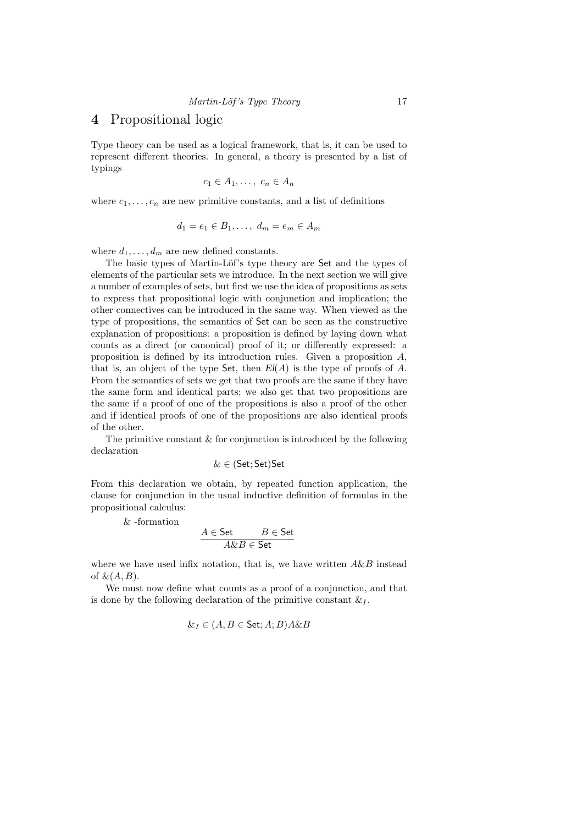## 4 Propositional logic

Type theory can be used as a logical framework, that is, it can be used to represent different theories. In general, a theory is presented by a list of typings

$$
c_1 \in A_1, \ldots, \ c_n \in A_n
$$

where  $c_1, \ldots, c_n$  are new primitive constants, and a list of definitions

$$
d_1 = e_1 \in B_1, \dots, d_m = e_m \in A_m
$$

where  $d_1, \ldots, d_m$  are new defined constants.

The basic types of Martin-Löf's type theory are Set and the types of elements of the particular sets we introduce. In the next section we will give a number of examples of sets, but first we use the idea of propositions as sets to express that propositional logic with conjunction and implication; the other connectives can be introduced in the same way. When viewed as the type of propositions, the semantics of Set can be seen as the constructive explanation of propositions: a proposition is defined by laying down what counts as a direct (or canonical) proof of it; or differently expressed: a proposition is defined by its introduction rules. Given a proposition  $A$ , that is, an object of the type Set, then  $El(A)$  is the type of proofs of A. From the semantics of sets we get that two proofs are the same if they have the same form and identical parts; we also get that two propositions are the same if a proof of one of the propositions is also a proof of the other and if identical proofs of one of the propositions are also identical proofs of the other.

The primitive constant  $\&$  for conjunction is introduced by the following declaration

$$
\&\in(\mathsf{Set};\mathsf{Set})\mathsf{Set}
$$

From this declaration we obtain, by repeated function application, the clause for conjunction in the usual inductive definition of formulas in the propositional calculus:

& -formation

$$
\cfrac{A\in\mathsf{Set}}{A\&B\in\mathsf{Set}}
$$

where we have used infix notation, that is, we have written  $A\&B$  instead of  $\&(A,B)$ .

We must now define what counts as a proof of a conjunction, and that is done by the following declaration of the primitive constant  $\&i>I$ .

$$
\& I \in (A, B \in \mathsf{Set}; A; B)A \& B
$$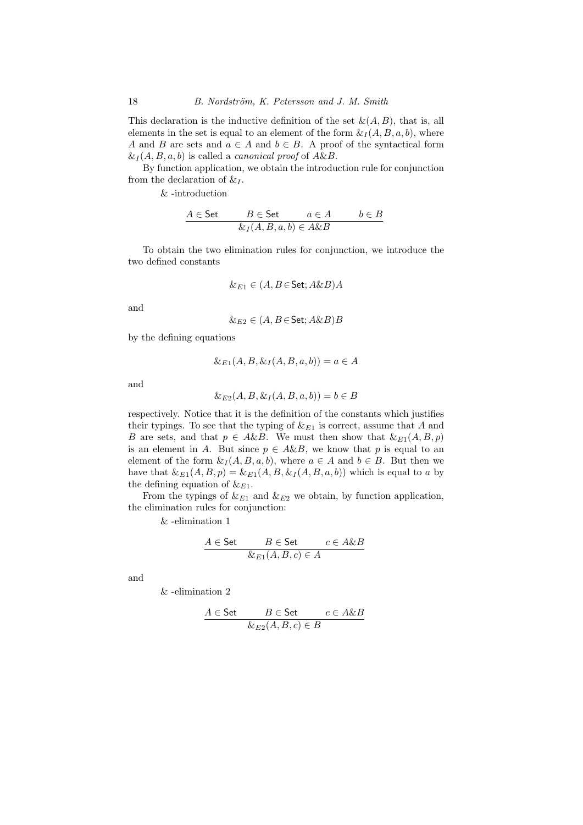This declaration is the inductive definition of the set  $\&(A, B)$ , that is, all elements in the set is equal to an element of the form  $\& I(A, B, a, b)$ , where A and B are sets and  $a \in A$  and  $b \in B$ . A proof of the syntactical form  $\&L(A, B, a, b)$  is called a *canonical proof* of  $A\&B$ .

By function application, we obtain the introduction rule for conjunction from the declaration of  $\&i>I$ .

& -introduction

$$
\cfrac{A \in \mathsf{Set} \qquad B \in \mathsf{Set} \qquad a \in A \qquad b \in B}{\& I(A, B, a, b) \in A \& B}
$$

To obtain the two elimination rules for conjunction, we introduce the two defined constants

$$
\&_{E1} \in (A, B \in \mathsf{Set}; A \& B)A
$$

and

$$
\&_{E2} \in (A, B \in \mathsf{Set}; A \& B)B
$$

by the defining equations

$$
\&_{E1}(A, B, \&_I(A, B, a, b)) = a \in A
$$

and

$$
\&_{E2}(A, B, \&_I(A, B, a, b)) = b \in B
$$

respectively. Notice that it is the definition of the constants which justifies their typings. To see that the typing of  $\&E_{E1}$  is correct, assume that A and B are sets, and that  $p \in A\&B$ . We must then show that  $\&E_1(A, B, p)$ is an element in A. But since  $p \in A\&B$ , we know that p is equal to an element of the form  $\&i I(A, B, a, b)$ , where  $a \in A$  and  $b \in B$ . But then we have that  $\&E_1(A, B, p) = \&E_1(A, B, \&I(A, B, a, b))$  which is equal to a by the defining equation of  $\&E_{1}$ .

From the typings of  $\&E_{E1}$  and  $\&E_{E2}$  we obtain, by function application, the elimination rules for conjunction:

& -elimination 1

$$
\cfrac{A \in \mathsf{Set} \qquad B \in \mathsf{Set} \qquad c \in A \& B}{\&_{E1}(A, B, c) \in A}
$$

and

& -elimination 2

$$
\cfrac{A \in \mathsf{Set} \qquad B \in \mathsf{Set} \qquad c \in A \& B}{\& E_2(A, B, c) \in B}
$$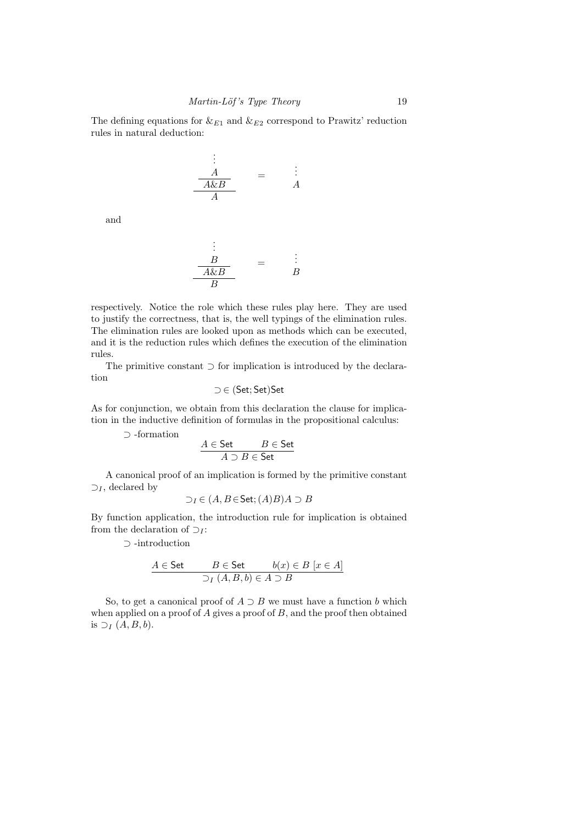The defining equations for  $\&E_{1}$  and  $\&E_{2}$  correspond to Prawitz' reduction rules in natural deduction:

$$
\begin{array}{c}\n\vdots \\
\hline\n\frac{A}{A \& B}\n\end{array} = \begin{array}{c}\n\vdots \\
\hline\n\end{array}
$$

and

$$
\begin{array}{c}\n\vdots \\
\hline\nB \\
\hline\n\frac{A \& B}{B}\n\end{array} = \begin{array}{c}\n\vdots \\
\hline\nB\n\end{array}
$$

respectively. Notice the role which these rules play here. They are used to justify the correctness, that is, the well typings of the elimination rules. The elimination rules are looked upon as methods which can be executed, and it is the reduction rules which defines the execution of the elimination rules.

The primitive constant ⊃ for implication is introduced by the declaration

$$
\supset \, \in \, (\mathsf{Set};\mathsf{Set}) \mathsf{Set}
$$

As for conjunction, we obtain from this declaration the clause for implication in the inductive definition of formulas in the propositional calculus:

⊃ -formation

$$
\cfrac{A\in\mathsf{Set}}{A\supset B\in\mathsf{Set}}
$$

A canonical proof of an implication is formed by the primitive constant  $\supset_I$ , declared by

$$
\supset_I \in (A, B \in \mathsf{Set}; (A)B)A \supset B
$$

By function application, the introduction rule for implication is obtained from the declaration of  $\supset_I$ :

⊃ -introduction

$$
A \in \mathsf{Set} \qquad B \in \mathsf{Set} \qquad b(x) \in B \ [x \in A]
$$
  

$$
\supset_I (A, B, b) \in A \supset B
$$

So, to get a canonical proof of  $A \supset B$  we must have a function b which when applied on a proof of  $A$  gives a proof of  $B$ , and the proof then obtained is  $\supset_I (A, B, b)$ .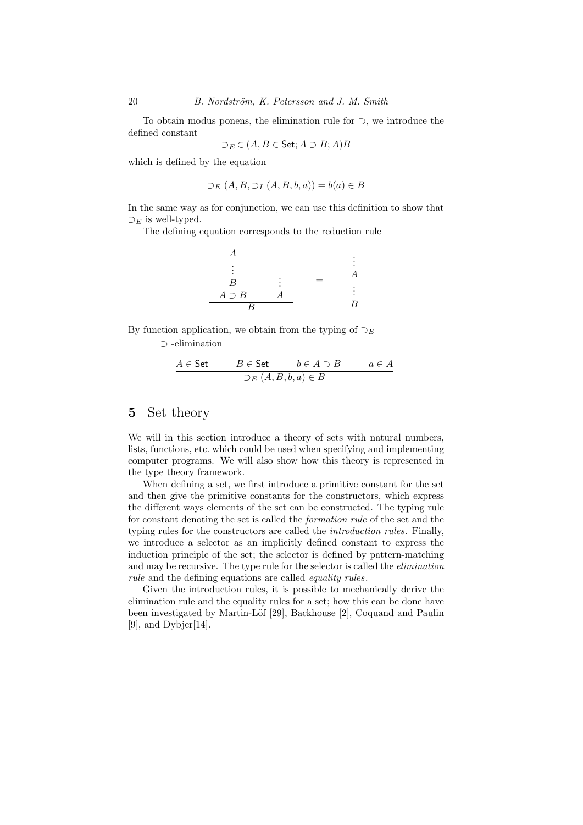To obtain modus ponens, the elimination rule for ⊃, we introduce the defined constant

$$
\supset_{E} \in (A, B \in \mathsf{Set}; A \supset B; A)B
$$

which is defined by the equation

$$
\supset_E (A, B, \supset_I (A, B, b, a)) = b(a) \in B
$$

In the same way as for conjunction, we can use this definition to show that  $\supset_E$  is well-typed.

The defining equation corresponds to the reduction rule

$$
\begin{array}{ccc}\nA & & & \vdots \\
\vdots & & \vdots \\
B & \vdots & & \vdots \\
\hline\nA \supset B & A & & \vdots \\
B & & & B\n\end{array}
$$

By function application, we obtain from the typing of  $\supset_E$ 

⊃ -elimination

$$
\cfrac{A \in \mathsf{Set} \qquad \qquad B \in \mathsf{Set} \qquad \qquad b \in A \supset B \qquad \qquad a \in A}{\sum_E (A, B, b, a) \in B}
$$

## 5 Set theory

We will in this section introduce a theory of sets with natural numbers, lists, functions, etc. which could be used when specifying and implementing computer programs. We will also show how this theory is represented in the type theory framework.

When defining a set, we first introduce a primitive constant for the set and then give the primitive constants for the constructors, which express the different ways elements of the set can be constructed. The typing rule for constant denoting the set is called the formation rule of the set and the typing rules for the constructors are called the *introduction rules*. Finally, we introduce a selector as an implicitly defined constant to express the induction principle of the set; the selector is defined by pattern-matching and may be recursive. The type rule for the selector is called the elimination rule and the defining equations are called *equality rules*.

Given the introduction rules, it is possible to mechanically derive the elimination rule and the equality rules for a set; how this can be done have been investigated by Martin-Löf [29], Backhouse [2], Coquand and Paulin [9], and Dybjer[14].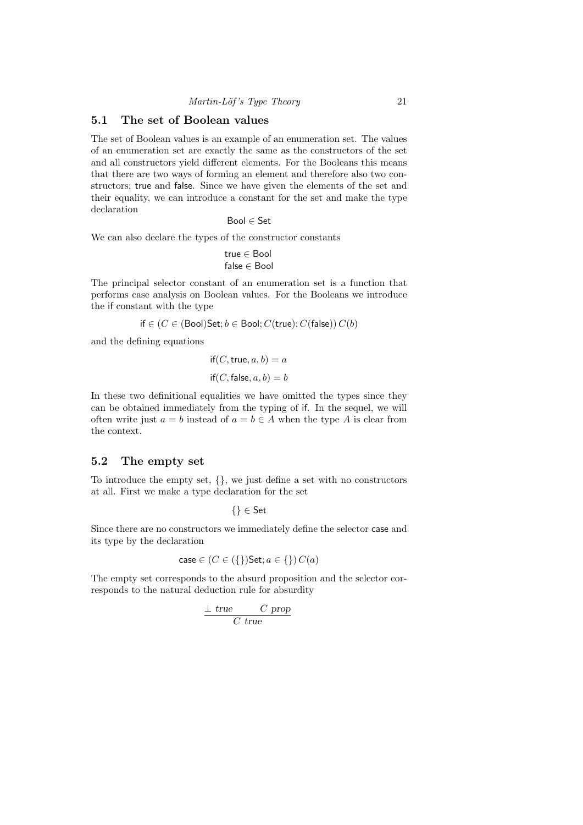## 5.1 The set of Boolean values

The set of Boolean values is an example of an enumeration set. The values of an enumeration set are exactly the same as the constructors of the set and all constructors yield different elements. For the Booleans this means that there are two ways of forming an element and therefore also two constructors; true and false. Since we have given the elements of the set and their equality, we can introduce a constant for the set and make the type declaration

Bool ∈ Set

We can also declare the types of the constructor constants

$$
\mathsf{true} \in \mathsf{Bool}
$$
  

$$
\mathsf{false} \in \mathsf{Bool}
$$

The principal selector constant of an enumeration set is a function that performs case analysis on Boolean values. For the Booleans we introduce the if constant with the type

$$
\mathsf{if} \in (C \in (\mathsf{Bool})\mathsf{Set}; b \in \mathsf{Bool}; C(\mathsf{true}); C(\mathsf{false}))\, C(b)
$$

and the defining equations

$$
if(C, true, a, b) = a
$$

$$
if(C, false, a, b) = b
$$

In these two definitional equalities we have omitted the types since they can be obtained immediately from the typing of if. In the sequel, we will often write just  $a = b$  instead of  $a = b \in A$  when the type A is clear from the context.

## 5.2 The empty set

To introduce the empty set, {}, we just define a set with no constructors at all. First we make a type declaration for the set

$$
\{\}\in\mathsf{Set}
$$

Since there are no constructors we immediately define the selector case and its type by the declaration

$$
case \in (C \in (\{\})\mathsf{Set}; a \in \{\})\,C(a)
$$

The empty set corresponds to the absurd proposition and the selector corresponds to the natural deduction rule for absurdity

$$
\frac{\perp \text{ true}}{C \text{ true}}
$$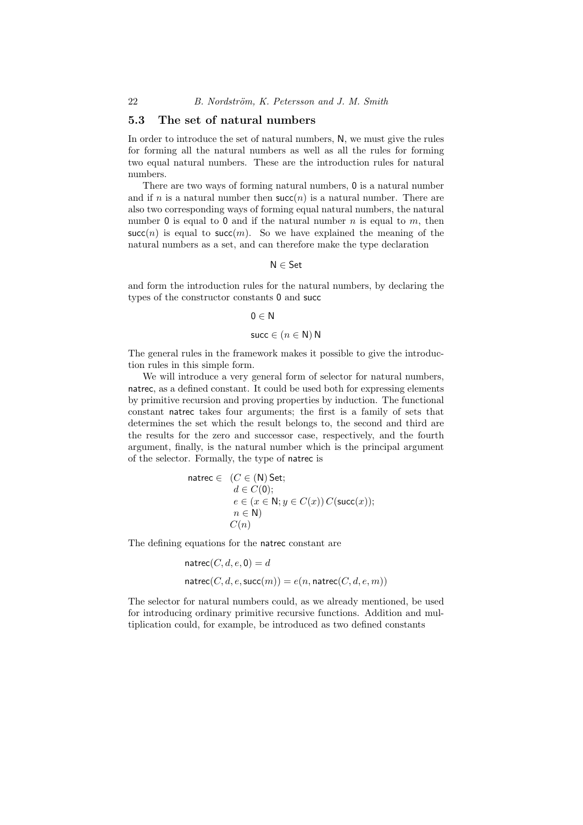#### 5.3 The set of natural numbers

In order to introduce the set of natural numbers, N, we must give the rules for forming all the natural numbers as well as all the rules for forming two equal natural numbers. These are the introduction rules for natural numbers.

There are two ways of forming natural numbers, 0 is a natural number and if n is a natural number then  $succ(n)$  is a natural number. There are also two corresponding ways of forming equal natural numbers, the natural number 0 is equal to 0 and if the natural number  $n$  is equal to  $m$ , then  $succ(n)$  is equal to succ(m). So we have explained the meaning of the natural numbers as a set, and can therefore make the type declaration

N ∈ Set

and form the introduction rules for the natural numbers, by declaring the types of the constructor constants 0 and succ

```
0 \in N
```

```
succ \in (n \in \mathbb{N}) N
```
The general rules in the framework makes it possible to give the introduction rules in this simple form.

We will introduce a very general form of selector for natural numbers, natrec, as a defined constant. It could be used both for expressing elements by primitive recursion and proving properties by induction. The functional constant natrec takes four arguments; the first is a family of sets that determines the set which the result belongs to, the second and third are the results for the zero and successor case, respectively, and the fourth argument, finally, is the natural number which is the principal argument of the selector. Formally, the type of natrec is

$$
\begin{array}{ll}\texttt{matrec} \in & (C \in (\mathsf{N}) \texttt{Set};\\ & d \in C(\mathsf{0});\\ & e \in (x \in \mathsf{N}; y \in C(x)) \, C(\texttt{succ}(x));\\ & n \in \mathsf{N}) \\ & C(n)\end{array}
$$

The defining equations for the natrec constant are

$$
\begin{aligned} \mathsf{matrec}(C,d,e,\mathsf{0})&=d\\ \mathsf{natrec}(C,d,e,\mathsf{succ}(m))&=e(n,\mathsf{natrec}(C,d,e,m)) \end{aligned}
$$

The selector for natural numbers could, as we already mentioned, be used for introducing ordinary primitive recursive functions. Addition and multiplication could, for example, be introduced as two defined constants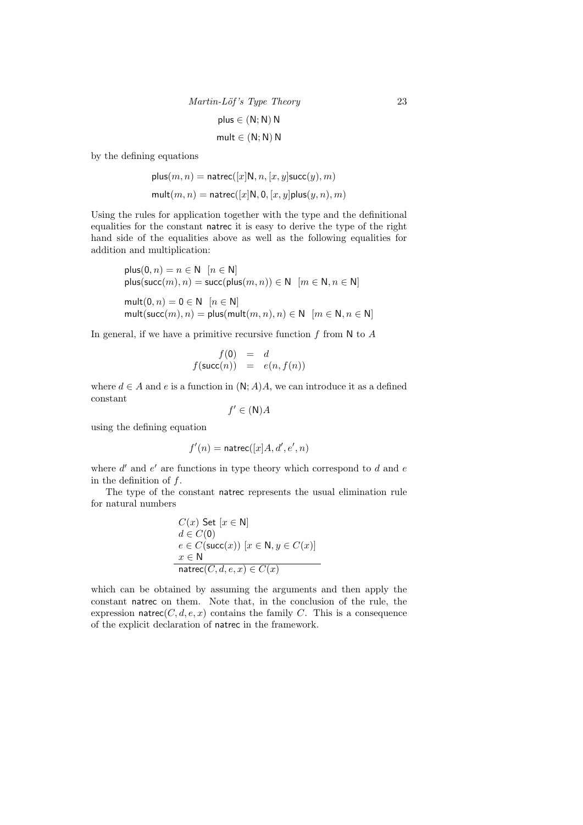| $Martin\text{-}Löf's Type Theory$ | 23 |
|-----------------------------------|----|
| $plus \in (N; N) N$               | 23 |
| $mult \in (N; N) N$               |    |

by the defining equations

$$
\begin{aligned} \text{plus}(m,n) = \text{natrec}([x]\mathsf{N},n,[x,y]\text{succ}(y),m) \\ \text{mult}(m,n) = \text{natrec}([x]\mathsf{N},\mathsf{0},[x,y]\text{plus}(y,n),m) \end{aligned}
$$

Using the rules for application together with the type and the definitional equalities for the constant natrec it is easy to derive the type of the right hand side of the equalities above as well as the following equalities for addition and multiplication:

$$
\begin{aligned}\n\text{plus}(0, n) &= n \in \mathbb{N} \quad [n \in \mathbb{N}] \\
\text{plus}(\text{succ}(m), n) &= \text{succ}(\text{plus}(m, n)) \in \mathbb{N} \quad [m \in \mathbb{N}, n \in \mathbb{N}] \\
\text{mult}(0, n) &= 0 \in \mathbb{N} \quad [n \in \mathbb{N}] \\
\text{mult}(\text{succ}(m), n) &= \text{plus}(\text{mult}(m, n), n) \in \mathbb{N} \quad [m \in \mathbb{N}, n \in \mathbb{N}]\n\end{aligned}
$$

In general, if we have a primitive recursive function  $f$  from  $N$  to  $A$ 

$$
f(0) = d
$$
  

$$
f(\mathsf{succ}(n)) = e(n, f(n))
$$

where  $d \in A$  and e is a function in  $(N; A)A$ , we can introduce it as a defined constant

$$
f' \in (\mathsf{N})A
$$

using the defining equation

$$
f'(n) = \text{natrec}([x]A, d', e', n)
$$

where  $d'$  and  $e'$  are functions in type theory which correspond to  $d$  and  $e$ in the definition of  $f$ .

The type of the constant natrec represents the usual elimination rule for natural numbers

$$
C(x) Set [x \in N]
$$
  
\n
$$
d \in C(0)
$$
  
\n
$$
e \in C(\text{succ}(x)) [x \in N, y \in C(x)]
$$
  
\n
$$
x \in N
$$
  
\n
$$
\text{natre}(C, d, e, x) \in C(x)
$$

which can be obtained by assuming the arguments and then apply the constant natrec on them. Note that, in the conclusion of the rule, the expression natrec $(C, d, e, x)$  contains the family C. This is a consequence of the explicit declaration of natrec in the framework.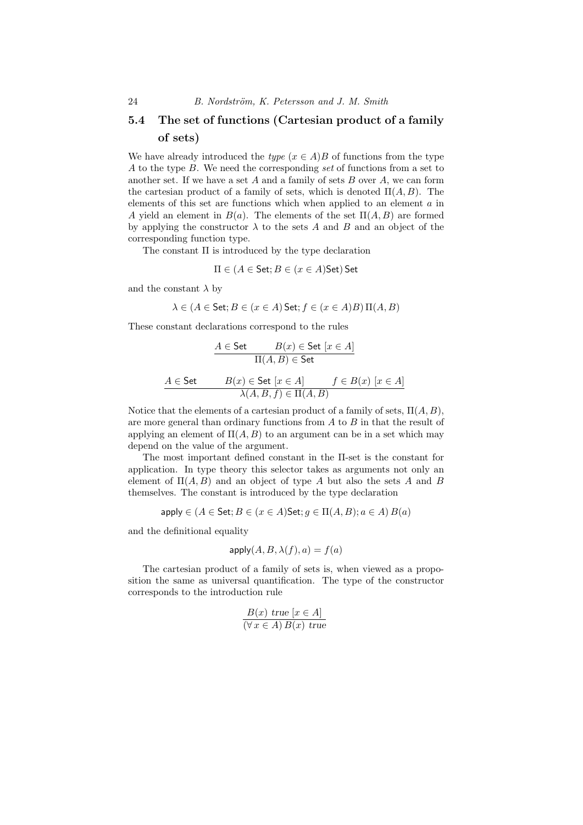## 5.4 The set of functions (Cartesian product of a family of sets)

We have already introduced the *type*  $(x \in A)B$  of functions from the type A to the type B. We need the corresponding set of functions from a set to another set. If we have a set  $A$  and a family of sets  $B$  over  $A$ , we can form the cartesian product of a family of sets, which is denoted  $\Pi(A, B)$ . The elements of this set are functions which when applied to an element a in A yield an element in  $B(a)$ . The elements of the set  $\Pi(A, B)$  are formed by applying the constructor  $\lambda$  to the sets A and B and an object of the corresponding function type.

The constant  $\Pi$  is introduced by the type declaration

$$
\Pi \in (A \in \mathsf{Set}; B \in (x \in A)\mathsf{Set})\mathsf{Set}
$$

and the constant  $\lambda$  by

$$
\lambda \in (A \in \mathsf{Set}; B \in (x \in A)\mathsf{Set}; f \in (x \in A)B)\,\Pi(A, B)
$$

These constant declarations correspond to the rules

$$
A \in \text{Set} \qquad B(x) \in \text{Set} \ [x \in A]
$$

$$
\Pi(A, B) \in \text{Set}
$$

$$
A \in \text{Set} \qquad B(x) \in \text{Set} \ [x \in A] \qquad f \in B(x) \ [x \in A]
$$

$$
\lambda(A, B, f) \in \Pi(A, B)
$$

Notice that the elements of a cartesian product of a family of sets,  $\Pi(A, B)$ , are more general than ordinary functions from  $A$  to  $B$  in that the result of applying an element of  $\Pi(A, B)$  to an argument can be in a set which may depend on the value of the argument.

The most important defined constant in the Π-set is the constant for application. In type theory this selector takes as arguments not only an element of  $\Pi(A, B)$  and an object of type A but also the sets A and B themselves. The constant is introduced by the type declaration

$$
\mathsf{apply} \in (A \in \mathsf{Set}; B \in (x \in A)\mathsf{Set}; g \in \Pi(A, B); a \in A) B(a)
$$

and the definitional equality

$$
apply(A, B, \lambda(f), a) = f(a)
$$

The cartesian product of a family of sets is, when viewed as a proposition the same as universal quantification. The type of the constructor corresponds to the introduction rule

$$
\frac{B(x) \text{ true } [x \in A]}{(\forall x \in A) B(x) \text{ true}}
$$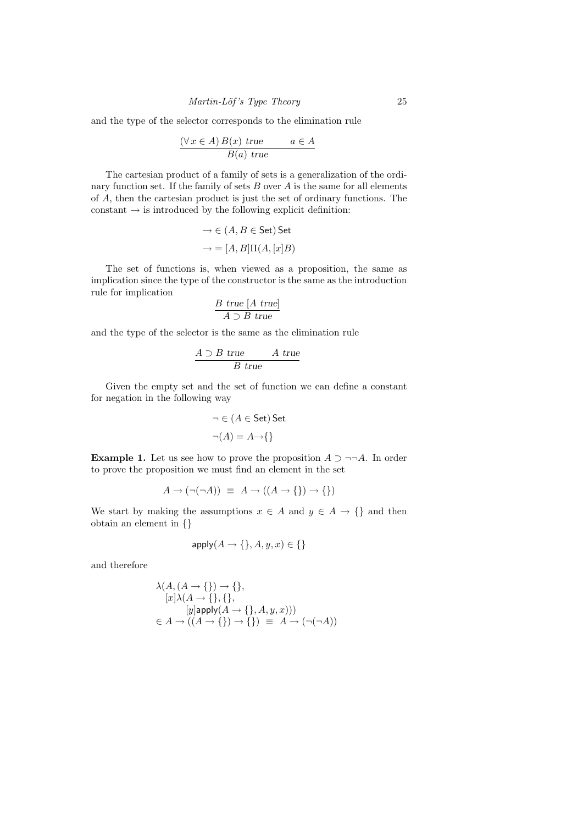and the type of the selector corresponds to the elimination rule

$$
\frac{(\forall x \in A) B(x) \text{ true}}{B(a) \text{ true}} \qquad a \in A
$$

The cartesian product of a family of sets is a generalization of the ordinary function set. If the family of sets  $B$  over  $A$  is the same for all elements of A, then the cartesian product is just the set of ordinary functions. The constant  $\rightarrow$  is introduced by the following explicit definition:

$$
\rightarrow \in (A, B \in \text{Set}) \text{ Set}
$$

$$
\rightarrow = [A, B] \Pi(A, [x]B)
$$

The set of functions is, when viewed as a proposition, the same as implication since the type of the constructor is the same as the introduction rule for implication

$$
\frac{B \text{ true } [A \text{ true}]}{A \supset B \text{ true}}
$$

and the type of the selector is the same as the elimination rule

$$
\frac{A \supset B \ true}{B \ true}
$$

Given the empty set and the set of function we can define a constant for negation in the following way

$$
\neg \in (A \in \mathsf{Set}) \mathsf{Set}
$$

$$
\neg(A) = A \rightarrow \{\}
$$

**Example 1.** Let us see how to prove the proposition  $A \supset \neg\neg A$ . In order to prove the proposition we must find an element in the set

$$
A \to (\neg(\neg A)) \equiv A \to ((A \to \{\}) \to \{\})
$$

We start by making the assumptions  $x \in A$  and  $y \in A \to \{\}$  and then obtain an element in {}

$$
\mathsf{apply}(A \to \{\}, A, y, x) \in \{\}
$$

and therefore

$$
\lambda(A, (A \to \{\}) \to \{\},
$$
  
\n
$$
[x]\lambda(A \to \{\}, \{\},
$$
  
\n
$$
[y] \text{apply}(A \to \{\}, A, y, x)))
$$
  
\n
$$
\in A \to ((A \to \{\}) \to \{\}) \equiv A \to (\neg(\neg A))
$$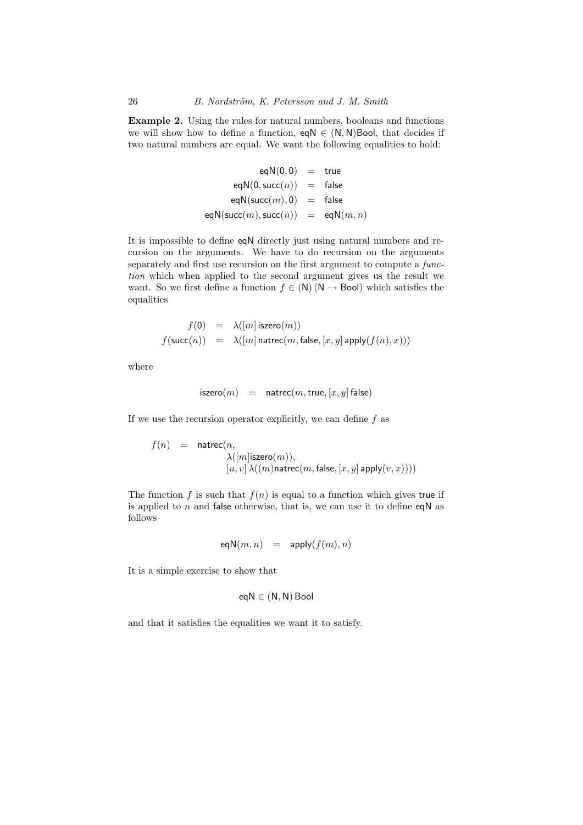Example 2. Using the rules for natural numbers, booleans and functions we will show how to define a function,  $eqN \in (N, N)$ Bool, that decides if two natural numbers are equal. We want the following equalities to hold:

$$
eqN(0, 0) = true
$$
  
\n
$$
eqN(0, succ(n)) = false
$$
  
\n
$$
eqN(succ(m), 0) = false
$$
  
\n
$$
eqN(succ(m), succ(n)) = eqN(m, n)
$$

It is impossible to define eqN directly just using natural numbers and recursion on the arguments. We have to do recursion on the arguments separately and first use recursion on the first argument to compute a function which when applied to the second argument gives us the result we want. So we first define a function  $f \in (N) (N \rightarrow \text{Bool})$  which satisfies the equalities

$$
\begin{array}{lcl} f(\mathsf{0}) & = & \lambda([m]\,\mathsf{iszero}(m)) \\ f(\mathsf{succ}(n)) & = & \lambda([m]\,\mathsf{matrec}(m,\mathsf{false},[x,y]\,\mathsf{apply}(f(n),x))) \end{array}
$$

where

$$
iszero(m) = naturec(m, true, [x, y] false)
$$

If we use the recursion operator explicitly, we can define  $f$  as

$$
\begin{array}{lcl} f(n) & = & \mathsf{natrec}(n, \\ & & \lambda([m] \mathsf{iszero}(m)), \\ & & [u,v] \, \lambda((m) \mathsf{natrec}(m,\mathsf{false},[x,y] \, \mathsf{apply}(v,x)))) \end{array}
$$

The function f is such that  $f(n)$  is equal to a function which gives true if is applied to  $n$  and false otherwise, that is, we can use it to define eqN as follows

eqN
$$
(m, n)
$$
 = apply $(f(m), n)$ 

It is a simple exercise to show that

$$
eqN \in (N, N) \text{Bool}
$$

and that it satisfies the equalities we want it to satisfy.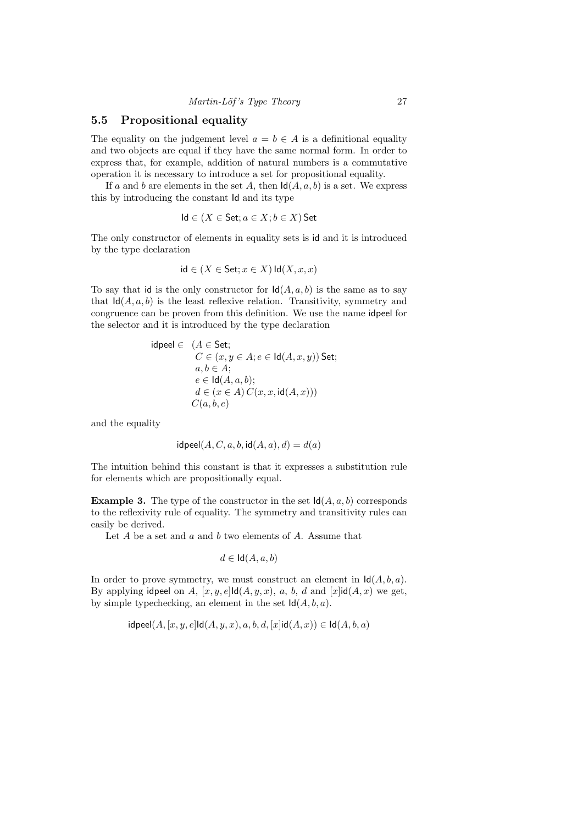#### 5.5 Propositional equality

The equality on the judgement level  $a = b \in A$  is a definitional equality and two objects are equal if they have the same normal form. In order to express that, for example, addition of natural numbers is a commutative operation it is necessary to introduce a set for propositional equality.

If a and b are elements in the set A, then  $\text{Id}(A, a, b)$  is a set. We express this by introducing the constant Id and its type

$$
Id \in (X \in \mathsf{Set}; a \in X; b \in X) \mathsf{Set}
$$

The only constructor of elements in equality sets is id and it is introduced by the type declaration

$$
id \in (X \in \mathsf{Set}; x \in X) \mathsf{Id}(X, x, x)
$$

To say that id is the only constructor for  $\text{Id}(A, a, b)$  is the same as to say that  $\mathsf{Id}(A, a, b)$  is the least reflexive relation. Transitivity, symmetry and congruence can be proven from this definition. We use the name idpeel for the selector and it is introduced by the type declaration

$$
\begin{array}{ll}\n\text{idpeel} \in & (A \in \mathsf{Set}; \\
& C \in (x, y \in A; e \in \mathsf{Id}(A, x, y)) \text{Set}; \\
& a, b \in A; \\
& e \in \mathsf{Id}(A, a, b); \\
& d \in (x \in A) \, C(x, x, \mathsf{id}(A, x))) \\
& C(a, b, e)\n\end{array}
$$

and the equality

$$
\mathsf{idpeel}(A, C, a, b, \mathsf{id}(A, a), d) = d(a)
$$

The intuition behind this constant is that it expresses a substitution rule for elements which are propositionally equal.

**Example 3.** The type of the constructor in the set  $\mathsf{Id}(A, a, b)$  corresponds to the reflexivity rule of equality. The symmetry and transitivity rules can easily be derived.

Let  $A$  be a set and  $a$  and  $b$  two elements of  $A$ . Assume that

$$
d \in \mathsf{Id}(A, a, b)
$$

In order to prove symmetry, we must construct an element in  $\mathsf{Id}(A, b, a)$ . By applying idpeel on A,  $[x, y, e]$ Id $(A, y, x)$ , a, b, d and  $[x]$ id $(A, x)$  we get, by simple typechecking, an element in the set  $\mathsf{Id}(A, b, a)$ .

$$
\mathsf{idpeel}(A, [x, y, e] \mathsf{Id}(A, y, x), a, b, d, [x] \mathsf{id}(A, x)) \in \mathsf{Id}(A, b, a)
$$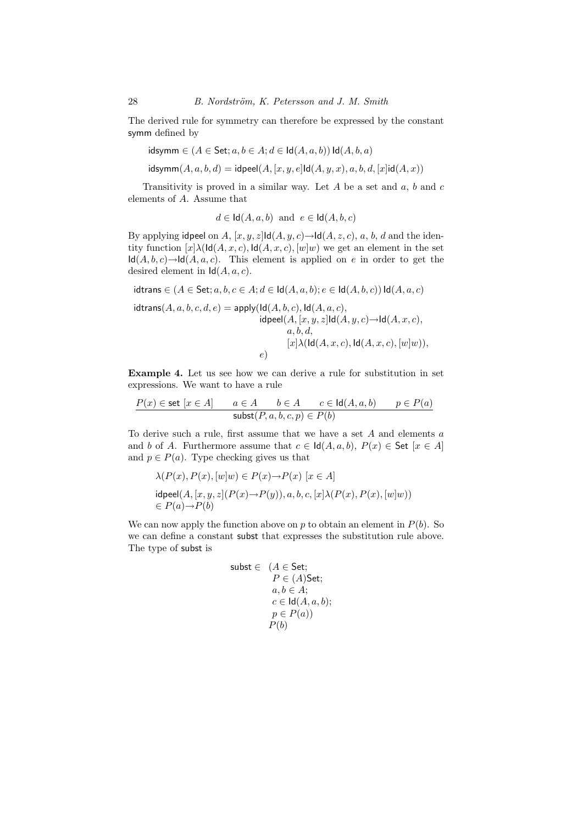The derived rule for symmetry can therefore be expressed by the constant symm defined by

$$
\mathsf{idsymm} \in (A \in \mathsf{Set}; a, b \in A; d \in \mathsf{Id}(A, a, b)) \mathsf{Id}(A, b, a)
$$

 $\mathsf{idsymm}(A, a, b, d) = \mathsf{idpeel}(A, [x, y, e] \mathsf{Id}(A, y, x), a, b, d, [x] \mathsf{id}(A, x))$ 

Transitivity is proved in a similar way. Let  $A$  be a set and  $a, b$  and  $c$ elements of A. Assume that

 $d \in \text{Id}(A, a, b)$  and  $e \in \text{Id}(A, b, c)$ 

By applying idpeel on A,  $[x, y, z]$ Id $(A, y, c) \rightarrow$ Id $(A, z, c)$ , a, b, d and the identity function  $[x]\lambda(\text{Id}(A, x, c), \text{Id}(A, x, c), [w]w)$  we get an element in the set  $\mathsf{Id}(A, b, c) \to \mathsf{Id}(A, a, c)$ . This element is applied on e in order to get the desired element in  $\mathsf{Id}(A, a, c)$ .

 $\mathsf{idtrans} \in (A \in \mathsf{Set}; a, b, c \in A; d \in \mathsf{Id}(A, a, b); e \in \mathsf{Id}(A, b, c)) \mathsf{Id}(A, a, c)$ 

 $\text{idxrans}(A, a, b, c, d, e) = \text{apply}(\text{Id}(A, b, c), \text{Id}(A, a, c),$  $\mathsf{idpeel}(A, [x, y, z] \mathsf{Id}(A, y, c) \rightarrow \mathsf{Id}(A, x, c),$  $a, b, d$ ,  $[x]\lambda(\text{Id}(A, x, c), \text{Id}(A, x, c), [w]w)$ e)

Example 4. Let us see how we can derive a rule for substitution in set expressions. We want to have a rule

$$
\frac{P(x) \in \text{set } [x \in A] \qquad a \in A \qquad b \in A \qquad c \in \text{Id}(A, a, b) \qquad p \in P(a)}{\text{subst}(P, a, b, c, p) \in P(b)}
$$

To derive such a rule, first assume that we have a set  $A$  and elements  $a$ and b of A. Furthermore assume that  $c \in \text{Id}(A, a, b)$ ,  $P(x) \in \text{Set} \ [x \in A]$ and  $p \in P(a)$ . Type checking gives us that

$$
\lambda(P(x), P(x), [w]w) \in P(x) \rightarrow P(x) [x \in A]
$$
  
idpeel $(A, [x, y, z](P(x) \rightarrow P(y)), a, b, c, [x] \lambda(P(x), P(x), [w]w))$   
 $\in P(a) \rightarrow P(b)$ 

We can now apply the function above on p to obtain an element in  $P(b)$ . So we can define a constant subst that expresses the substitution rule above. The type of subst is

$$
\begin{aligned}\n\text{subst} &\in (A \in \text{Set}; \\
& P \in (A)\text{Set}; \\
& a, b \in A; \\
& c \in \text{Id}(A, a, b); \\
& p \in P(a)) \\
& P(b)\n\end{aligned}
$$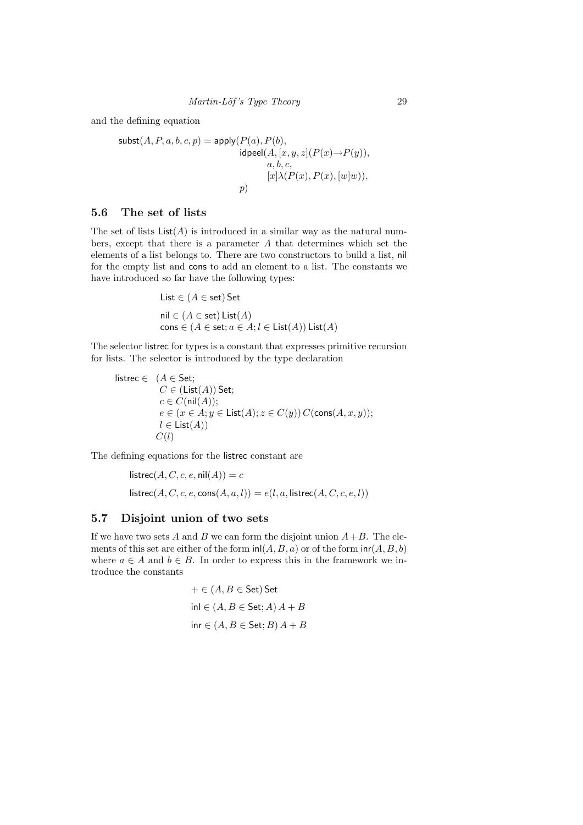and the defining equation

$$
\textsf{subst}(A, P, a, b, c, p) = \textsf{apply}(P(a), P(b),
$$
  

$$
\textsf{idpeel}(A, [x, y, z](P(x) \to P(y)),
$$
  

$$
a, b, c,
$$
  

$$
[x] \lambda(P(x), P(x), [w]w)),
$$
  

$$
p)
$$

## 5.6 The set of lists

The set of lists  $List(A)$  is introduced in a similar way as the natural numbers, except that there is a parameter A that determines which set the elements of a list belongs to. There are two constructors to build a list, nil for the empty list and cons to add an element to a list. The constants we have introduced so far have the following types:

List 
$$
\in
$$
 ( $A \in$  set) Set  
nil  $\in$  ( $A \in$  set) List( $A$ )  
cons  $\in$  ( $A \in$  set;  $a \in A$ ;  $l \in$  List( $A$ )) List( $A$ )

The selector listrec for types is a constant that expresses primitive recursion for lists. The selector is introduced by the type declaration

listrec ∈  $(A ∈ Set;$  $C \in (List(A))$  Set;  $c \in C(\text{nil}(A));$  $e \in (x \in A; y \in \text{List}(A); z \in C(y)) C(\text{cons}(A, x, y));$  $l \in$  List $(A)$ )  $C(l)$ 

The defining equations for the listrec constant are

$$
listrec(A, C, c, e, nil(A)) = c
$$
  
 
$$
listrec(A, C, c, e, cons(A, a, l)) = e(l, a, listrec(A, C, c, e, l))
$$

## 5.7 Disjoint union of two sets

If we have two sets A and B we can form the disjoint union  $A+B$ . The elements of this set are either of the form  $\text{inl}(A, B, a)$  or of the form  $\text{inr}(A, B, b)$ where  $a \in A$  and  $b \in B$ . In order to express this in the framework we introduce the constants

$$
+ \in (A, B \in \text{Set}) \text{ Set}
$$
  
inl  $\in (A, B \in \text{Set}; A) A + B$   
inr  $\in (A, B \in \text{Set}; B) A + B$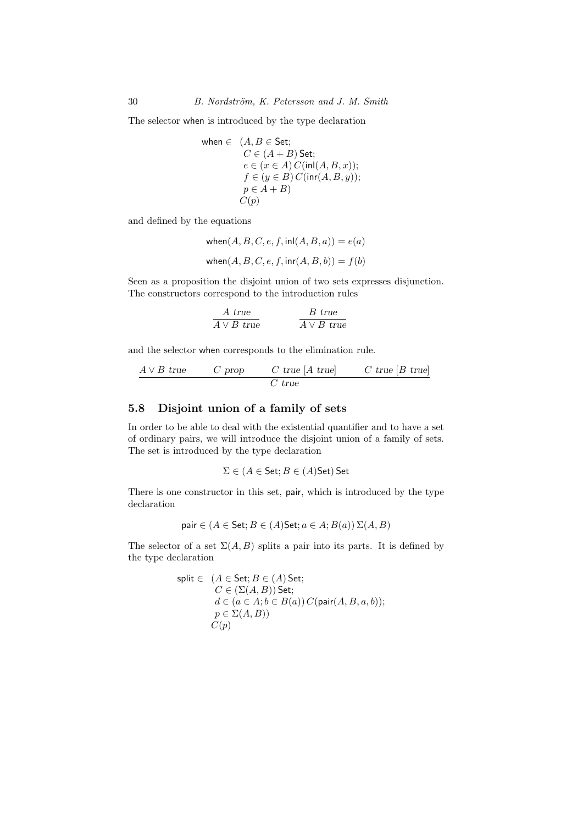The selector when is introduced by the type declaration

$$
\begin{array}{ll}\n\text{when } \in & (A, B \in \text{Set}; \\
C \in (A + B) \text{ Set}; \\
e \in (x \in A) C(\text{inl}(A, B, x)); \\
f \in (y \in B) C(\text{inr}(A, B, y)); \\
p \in A + B) \\
C(p)\n\end{array}
$$

and defined by the equations

$$
\begin{aligned} \text{when}(A, B, C, e, f, \text{inl}(A, B, a)) &= e(a) \\ \text{when}(A, B, C, e, f, \text{inr}(A, B, b)) &= f(b) \end{aligned}
$$

Seen as a proposition the disjoint union of two sets expresses disjunction. The constructors correspond to the introduction rules

$$
\cfrac{A \text{ true}}{A \vee B \text{ true}} \qquad \qquad \cfrac{B \text{ true}}{A \vee B \text{ true}}
$$

and the selector when corresponds to the elimination rule.

$$
\cfrac{A \vee B \; \text{true}}{C \; \text{true}} \qquad \cfrac{C \; \text{true} \; [A \; \text{true}]}{C \; \text{true}} \qquad \cfrac{C \; \text{true} \; [B \; \text{true}]}{C}
$$

## 5.8 Disjoint union of a family of sets

In order to be able to deal with the existential quantifier and to have a set of ordinary pairs, we will introduce the disjoint union of a family of sets. The set is introduced by the type declaration

 $\Sigma \in (A \in \mathsf{Set}; B \in (A)\mathsf{Set})$  Set

There is one constructor in this set, pair, which is introduced by the type declaration

pair 
$$
\in (A \in \text{Set}; B \in (A)\text{Set}; a \in A; B(a)) \Sigma(A, B)
$$

The selector of a set  $\Sigma(A, B)$  splits a pair into its parts. It is defined by the type declaration

$$
\begin{array}{ll}\n\text{split} \in & (A \in \textsf{Set}; B \in (A) \textsf{Set}; \\
& C \in (\Sigma(A, B)) \textsf{Set}; \\
& d \in (a \in A; b \in B(a)) \, C(\textsf{pair}(A, B, a, b)); \\
& p \in \Sigma(A, B)) \\
& C(p)\n\end{array}
$$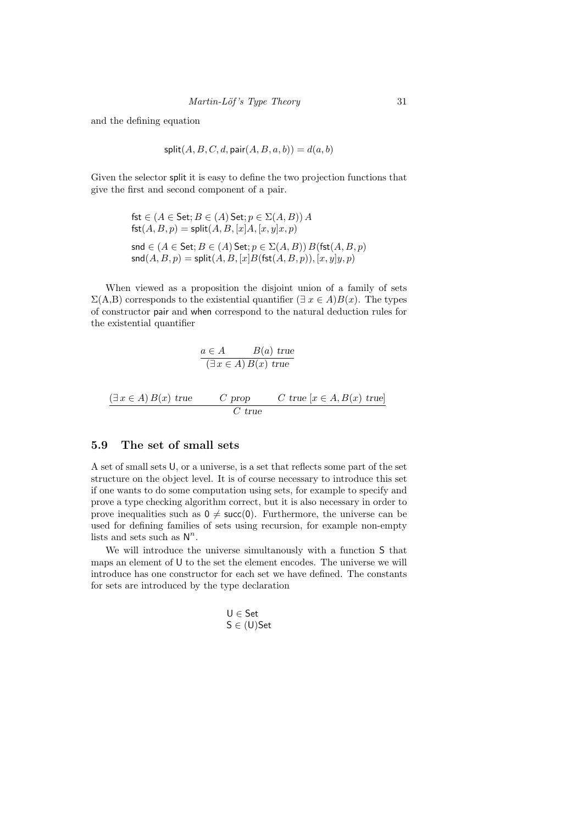and the defining equation

$$
\mathsf{split}(A, B, C, d, \mathsf{pair}(A, B, a, b)) = d(a, b)
$$

Given the selector split it is easy to define the two projection functions that give the first and second component of a pair.

$$
fst \in (A \in Set; B \in (A) Set; p \in \Sigma(A, B)) A
$$
  
\n
$$
fst(A, B, p) = split(A, B, [x]A, [x, y]x, p)
$$
  
\n
$$
snd \in (A \in Set; B \in (A) Set; p \in \Sigma(A, B)) B(fst(A, B, p))
$$
  
\n
$$
snd(A, B, p) = split(A, B, [x]B(fst(A, B, p)), [x, y]y, p)
$$

When viewed as a proposition the disjoint union of a family of sets  $\Sigma(A,B)$  corresponds to the existential quantifier  $(\exists x \in A)B(x)$ . The types of constructor pair and when correspond to the natural deduction rules for the existential quantifier

$$
\frac{a \in A \qquad B(a) \text{ true}}{(\exists x \in A) B(x) \text{ true}}
$$
  

$$
\frac{(\exists x \in A) B(x) \text{ true}}{C \text{ true}} \qquad C \text{ true } [x \in A, B(x) \text{ true}]
$$

### 5.9 The set of small sets

A set of small sets U, or a universe, is a set that reflects some part of the set structure on the object level. It is of course necessary to introduce this set if one wants to do some computation using sets, for example to specify and prove a type checking algorithm correct, but it is also necessary in order to prove inequalities such as  $0 \neq$  succ(0). Furthermore, the universe can be used for defining families of sets using recursion, for example non-empty lists and sets such as  $\mathsf{N}^n$ .

We will introduce the universe simultanously with a function S that maps an element of U to the set the element encodes. The universe we will introduce has one constructor for each set we have defined. The constants for sets are introduced by the type declaration

$$
U \in \mathsf{Set}
$$

$$
S \in (\mathsf{U})\mathsf{Set}
$$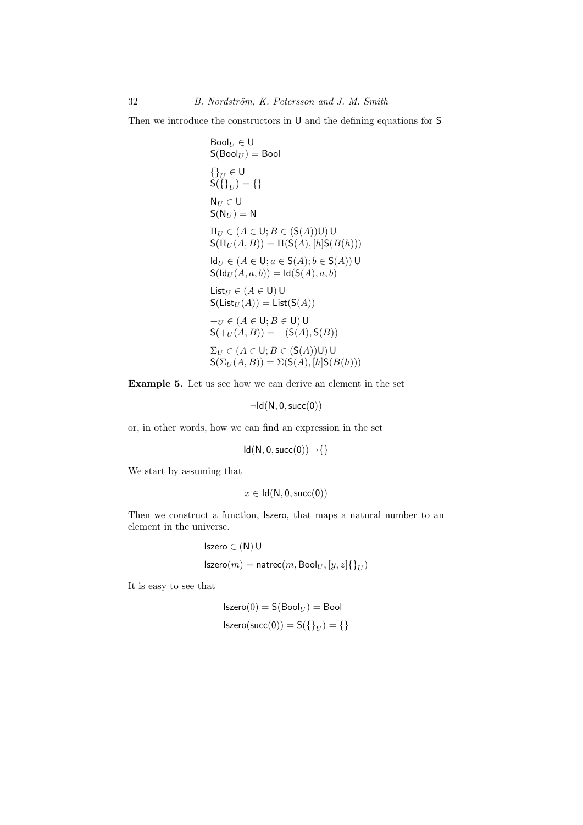Then we introduce the constructors in U and the defining equations for S

Bool<sub>U</sub> ∈ U

\nS(Bool<sub>U</sub>) = Bool

\n{
$$
\begin{aligned}\n\{ \}^1_{U} &\in U \\
S(\{\}_U) &= \{\} \\
N_U &\in U\n\end{aligned}
$$
\nIN<sub>U</sub> ∈ U

\nS( N<sub>U</sub>) = N

\nII<sub>U</sub> ∈ (A ∈ U; B ∈ (S(A))U) U

\nS( II<sub>U</sub>(A, B)) = II(S(A), [h]S(B(h)))

\nId<sub>U</sub> ∈ (A ∈ U; a ∈ S(A); b ∈ S(A)) U

\nS( Id<sub>U</sub>(A, a, b)) = Id(S(A), a, b)

\nList<sub>U</sub> ∈ (A ∈ U) U

\nS( List<sub>U</sub>(A)) = List(S(A))

\n+<sub>U</sub> ∈ (A ∈ U; B ∈ U) U

\nS( +<sub>U</sub>(A, B)) = + (S(A), S(B))

\nΣ<sub>U</sub> ∈ (A ∈ U; B ∈ (S(A))U) U

\nS( Σ<sub>U</sub>(A, B)) = Σ(S(A), [h]S(B(h)))

Example 5. Let us see how we can derive an element in the set

 $\neg Id(N, 0, succ(0))$ 

or, in other words, how we can find an expression in the set

$$
Id(N, 0, succ(0))\rightarrow\{\}
$$

We start by assuming that

$$
x\in \mathsf{Id}(\mathsf{N},0,\mathsf{succ}(0))
$$

Then we construct a function, Iszero, that maps a natural number to an element in the universe.

$$
\begin{aligned} & \text{Iszero} \in (\mathsf{N}) \, \mathsf{U} \\ & \text{Iszero}(m) = \text{natrec}(m, \text{Bool}_U, [y, z] \{\}_U) \end{aligned}
$$

It is easy to see that

$$
Iszero(0) = S(Bool_U) = Bool
$$
  

$$
Iszero(succ(0)) = S({\{\}}_U) = {\{\}}
$$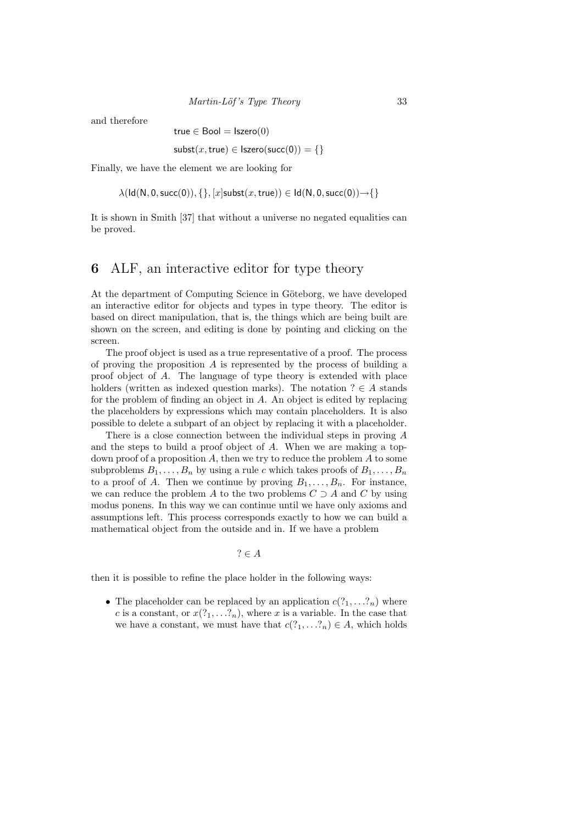Martin-Löf's Type Theory 33

and therefore

true  $\in$  Bool = Iszero $(0)$ 

 $\textsf{subst}(x,\textsf{true}) \in \textsf{Iszero}(\textsf{succ}(0)) = \{\}$ 

Finally, we have the element we are looking for

 $\lambda(\text{Id}(N, 0, \text{succ}(0)), \{\}, [x] \text{subst}(x, \text{true})) \in \text{Id}(N, 0, \text{succ}(0)) \rightarrow \{\}$ 

It is shown in Smith [37] that without a universe no negated equalities can be proved.

## 6 ALF, an interactive editor for type theory

At the department of Computing Science in Göteborg, we have developed an interactive editor for objects and types in type theory. The editor is based on direct manipulation, that is, the things which are being built are shown on the screen, and editing is done by pointing and clicking on the screen.

The proof object is used as a true representative of a proof. The process of proving the proposition  $A$  is represented by the process of building a proof object of A. The language of type theory is extended with place holders (written as indexed question marks). The notation  $? \in A$  stands for the problem of finding an object in A. An object is edited by replacing the placeholders by expressions which may contain placeholders. It is also possible to delete a subpart of an object by replacing it with a placeholder.

There is a close connection between the individual steps in proving A and the steps to build a proof object of A. When we are making a topdown proof of a proposition A, then we try to reduce the problem  $A$  to some subproblems  $B_1, \ldots, B_n$  by using a rule c which takes proofs of  $B_1, \ldots, B_n$ to a proof of A. Then we continue by proving  $B_1, \ldots, B_n$ . For instance, we can reduce the problem A to the two problems  $C \supset A$  and C by using modus ponens. In this way we can continue until we have only axioms and assumptions left. This process corresponds exactly to how we can build a mathematical object from the outside and in. If we have a problem

 $? \in A$ 

then it is possible to refine the place holder in the following ways:

• The placeholder can be replaced by an application  $c(2_1, \ldots, 2_n)$  where c is a constant, or  $x(?_1, \ldots ?_n)$ , where x is a variable. In the case that we have a constant, we must have that  $c(?_1, \ldots ?_n) \in A$ , which holds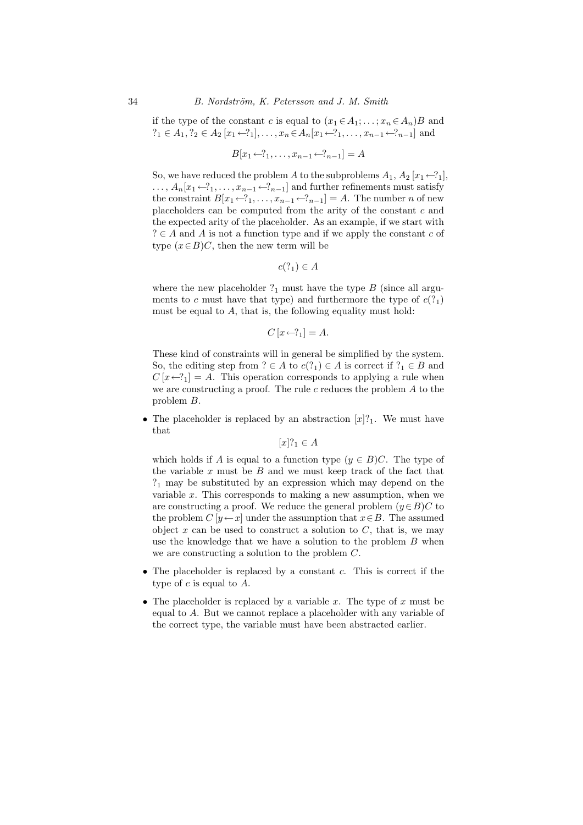if the type of the constant c is equal to  $(x_1 \in A_1; \ldots; x_n \in A_n)B$  and  $?_1 \in A_1$ ,  $?_2 \in A_2$  [ $x_1 \leftarrow ?_1$ ], ...,  $x_n \in A_n$ [ $x_1 \leftarrow ?_1$ , ...,  $x_{n-1} \leftarrow ?_{n-1}$ ] and

$$
B[x_1 \leftarrow ?_1, \dots, x_{n-1} \leftarrow ?_{n-1}] = A
$$

So, we have reduced the problem A to the subproblems  $A_1, A_2$  [ $x_1 \leftarrow ?_1$ ],  $\ldots$ ,  $A_n[x_1\leftarrow ?_1,\ldots,x_{n-1}\leftarrow ?_{n-1}]$  and further refinements must satisfy the constraint  $B[x_1 \leftarrow ?_1, \ldots, x_{n-1} \leftarrow ?_{n-1}] = A$ . The number *n* of new placeholders can be computed from the arity of the constant c and the expected arity of the placeholder. As an example, if we start with  $? \in A$  and A is not a function type and if we apply the constant c of type  $(x \in B)C$ , then the new term will be

 $c(?_1) \in A$ 

where the new placeholder  $?_1$  must have the type B (since all arguments to c must have that type) and furthermore the type of  $c(?_1)$ must be equal to A, that is, the following equality must hold:

$$
C[x \leftarrow ?_1] = A.
$$

These kind of constraints will in general be simplified by the system. So, the editing step from  $? \in A$  to  $c(?_1) \in A$  is correct if  $?_1 \in B$  and  $C[x \leftarrow ?_1] = A$ . This operation corresponds to applying a rule when we are constructing a proof. The rule  $c$  reduces the problem  $A$  to the problem B.

• The placeholder is replaced by an abstraction  $[x]_1$ . We must have that

 $[x]$ ?<sub>1</sub>  $\in$  A

which holds if A is equal to a function type  $(y \in B)C$ . The type of the variable  $x$  must be  $B$  and we must keep track of the fact that  $?<sub>1</sub>$  may be substituted by an expression which may depend on the variable  $x$ . This corresponds to making a new assumption, when we are constructing a proof. We reduce the general problem  $(y \in B)C$  to the problem  $C[y \leftarrow x]$  under the assumption that  $x \in B$ . The assumed object  $x$  can be used to construct a solution to  $C$ , that is, we may use the knowledge that we have a solution to the problem B when we are constructing a solution to the problem C.

- The placeholder is replaced by a constant  $c$ . This is correct if the type of  $c$  is equal to  $A$ .
- The placeholder is replaced by a variable x. The type of x must be equal to A. But we cannot replace a placeholder with any variable of the correct type, the variable must have been abstracted earlier.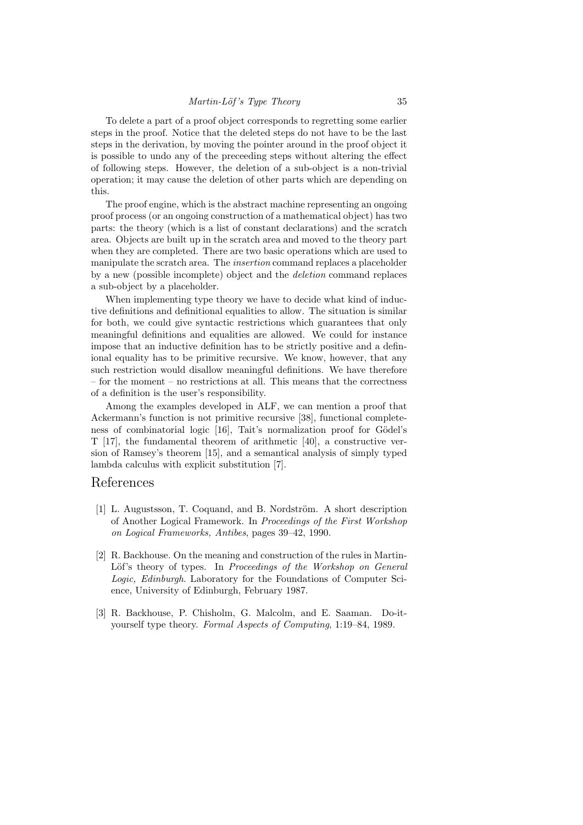To delete a part of a proof object corresponds to regretting some earlier steps in the proof. Notice that the deleted steps do not have to be the last steps in the derivation, by moving the pointer around in the proof object it is possible to undo any of the preceeding steps without altering the effect of following steps. However, the deletion of a sub-object is a non-trivial operation; it may cause the deletion of other parts which are depending on this.

The proof engine, which is the abstract machine representing an ongoing proof process (or an ongoing construction of a mathematical object) has two parts: the theory (which is a list of constant declarations) and the scratch area. Objects are built up in the scratch area and moved to the theory part when they are completed. There are two basic operations which are used to manipulate the scratch area. The insertion command replaces a placeholder by a new (possible incomplete) object and the deletion command replaces a sub-object by a placeholder.

When implementing type theory we have to decide what kind of inductive definitions and definitional equalities to allow. The situation is similar for both, we could give syntactic restrictions which guarantees that only meaningful definitions and equalities are allowed. We could for instance impose that an inductive definition has to be strictly positive and a definional equality has to be primitive recursive. We know, however, that any such restriction would disallow meaningful definitions. We have therefore – for the moment – no restrictions at all. This means that the correctness of a definition is the user's responsibility.

Among the examples developed in ALF, we can mention a proof that Ackermann's function is not primitive recursive [38], functional completeness of combinatorial logic [16], Tait's normalization proof for Gödel's T [17], the fundamental theorem of arithmetic [40], a constructive version of Ramsey's theorem [15], and a semantical analysis of simply typed lambda calculus with explicit substitution [7].

### References

- [1] L. Augustsson, T. Coquand, and B. Nordström. A short description of Another Logical Framework. In Proceedings of the First Workshop on Logical Frameworks, Antibes, pages 39–42, 1990.
- [2] R. Backhouse. On the meaning and construction of the rules in Martin-Löf's theory of types. In Proceedings of the Workshop on General Logic, Edinburgh. Laboratory for the Foundations of Computer Science, University of Edinburgh, February 1987.
- [3] R. Backhouse, P. Chisholm, G. Malcolm, and E. Saaman. Do-ityourself type theory. Formal Aspects of Computing, 1:19–84, 1989.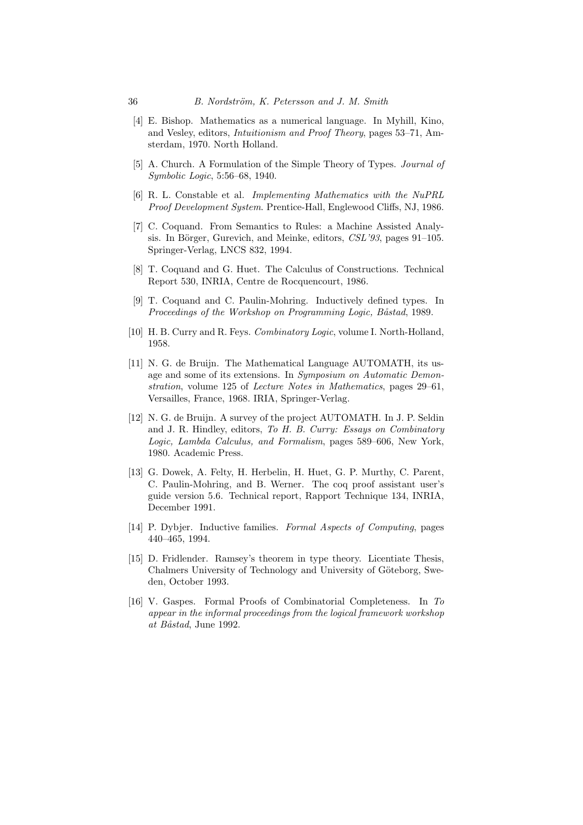- [4] E. Bishop. Mathematics as a numerical language. In Myhill, Kino, and Vesley, editors, Intuitionism and Proof Theory, pages 53–71, Amsterdam, 1970. North Holland.
- [5] A. Church. A Formulation of the Simple Theory of Types. *Journal of* Symbolic Logic, 5:56–68, 1940.
- [6] R. L. Constable et al. Implementing Mathematics with the NuPRL Proof Development System. Prentice-Hall, Englewood Cliffs, NJ, 1986.
- [7] C. Coquand. From Semantics to Rules: a Machine Assisted Analysis. In Börger, Gurevich, and Meinke, editors,  $CSL'93$ , pages  $91-105$ . Springer-Verlag, LNCS 832, 1994.
- [8] T. Coquand and G. Huet. The Calculus of Constructions. Technical Report 530, INRIA, Centre de Rocquencourt, 1986.
- [9] T. Coquand and C. Paulin-Mohring. Inductively defined types. In Proceedings of the Workshop on Programming Logic, Båstad, 1989.
- [10] H. B. Curry and R. Feys. *Combinatory Logic*, volume I. North-Holland, 1958.
- [11] N. G. de Bruijn. The Mathematical Language AUTOMATH, its usage and some of its extensions. In Symposium on Automatic Demonstration, volume 125 of Lecture Notes in Mathematics, pages 29–61, Versailles, France, 1968. IRIA, Springer-Verlag.
- [12] N. G. de Bruijn. A survey of the project AUTOMATH. In J. P. Seldin and J. R. Hindley, editors, To H. B. Curry: Essays on Combinatory Logic, Lambda Calculus, and Formalism, pages 589–606, New York, 1980. Academic Press.
- [13] G. Dowek, A. Felty, H. Herbelin, H. Huet, G. P. Murthy, C. Parent, C. Paulin-Mohring, and B. Werner. The coq proof assistant user's guide version 5.6. Technical report, Rapport Technique 134, INRIA, December 1991.
- [14] P. Dybjer. Inductive families. Formal Aspects of Computing, pages 440–465, 1994.
- [15] D. Fridlender. Ramsey's theorem in type theory. Licentiate Thesis, Chalmers University of Technology and University of Göteborg, Sweden, October 1993.
- [16] V. Gaspes. Formal Proofs of Combinatorial Completeness. In To appear in the informal proceedings from the logical framework workshop at Båstad, June 1992.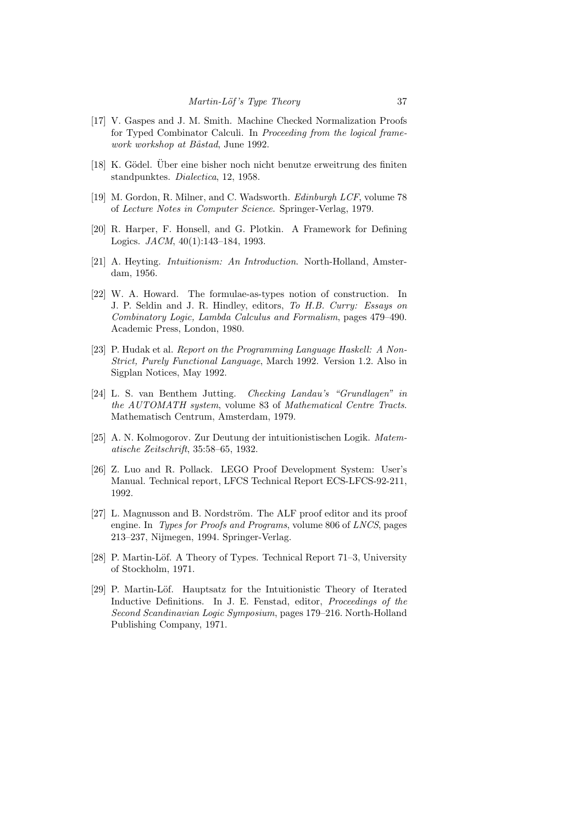- [17] V. Gaspes and J. M. Smith. Machine Checked Normalization Proofs for Typed Combinator Calculi. In Proceeding from the logical framework workshop at Båstad, June 1992.
- [18] K. Gödel. Über eine bisher noch nicht benutze erweitrung des finiten standpunktes. Dialectica, 12, 1958.
- [19] M. Gordon, R. Milner, and C. Wadsworth. Edinburgh LCF, volume 78 of Lecture Notes in Computer Science. Springer-Verlag, 1979.
- [20] R. Harper, F. Honsell, and G. Plotkin. A Framework for Defining Logics. JACM, 40(1):143–184, 1993.
- [21] A. Heyting. Intuitionism: An Introduction. North-Holland, Amsterdam, 1956.
- [22] W. A. Howard. The formulae-as-types notion of construction. In J. P. Seldin and J. R. Hindley, editors, To H.B. Curry: Essays on Combinatory Logic, Lambda Calculus and Formalism, pages 479–490. Academic Press, London, 1980.
- [23] P. Hudak et al. Report on the Programming Language Haskell: A Non-Strict, Purely Functional Language, March 1992. Version 1.2. Also in Sigplan Notices, May 1992.
- [24] L. S. van Benthem Jutting. Checking Landau's "Grundlagen" in the AUTOMATH system, volume 83 of Mathematical Centre Tracts. Mathematisch Centrum, Amsterdam, 1979.
- [25] A. N. Kolmogorov. Zur Deutung der intuitionistischen Logik. Matematische Zeitschrift, 35:58–65, 1932.
- [26] Z. Luo and R. Pollack. LEGO Proof Development System: User's Manual. Technical report, LFCS Technical Report ECS-LFCS-92-211, 1992.
- [27] L. Magnusson and B. Nordström. The ALF proof editor and its proof engine. In *Types for Proofs and Programs*, volume 806 of *LNCS*, pages 213–237, Nijmegen, 1994. Springer-Verlag.
- [28] P. Martin-Löf. A Theory of Types. Technical Report 71–3, University of Stockholm, 1971.
- [29] P. Martin-Löf. Hauptsatz for the Intuitionistic Theory of Iterated Inductive Definitions. In J. E. Fenstad, editor, Proceedings of the Second Scandinavian Logic Symposium, pages 179–216. North-Holland Publishing Company, 1971.